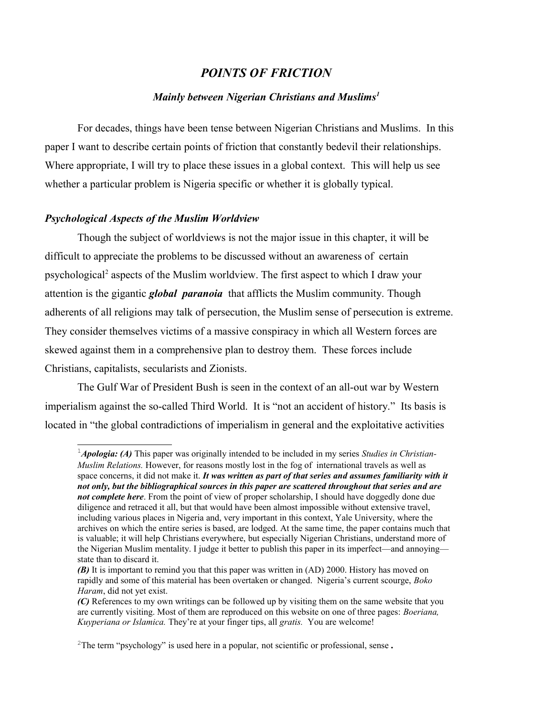## *POINTS OF FRICTION*

#### *Mainly between Nigerian Christians and Muslims[1](#page-0-0)*

For decades, things have been tense between Nigerian Christians and Muslims. In this paper I want to describe certain points of friction that constantly bedevil their relationships. Where appropriate, I will try to place these issues in a global context. This will help us see whether a particular problem is Nigeria specific or whether it is globally typical.

#### *Psychological Aspects of the Muslim Worldview*

Though the subject of worldviews is not the major issue in this chapter, it will be difficult to appreciate the problems to be discussed without an awareness of certain psychological<sup>[2](#page-0-1)</sup> aspects of the Muslim worldview. The first aspect to which I draw your attention is the gigantic *global paranoia* that afflicts the Muslim community. Though adherents of all religions may talk of persecution, the Muslim sense of persecution is extreme. They consider themselves victims of a massive conspiracy in which all Western forces are skewed against them in a comprehensive plan to destroy them. These forces include Christians, capitalists, secularists and Zionists.

The Gulf War of President Bush is seen in the context of an all-out war by Western imperialism against the so-called Third World. It is "not an accident of history." Its basis is located in "the global contradictions of imperialism in general and the exploitative activities

<span id="page-0-0"></span><sup>1</sup>*Apologia: (A)* This paper was originally intended to be included in my series *Studies in Christian-Muslim Relations.* However, for reasons mostly lost in the fog of international travels as well as space concerns, it did not make it. *It was written as part of that series and assumes familiarity with it not only, but the bibliographical sources in this paper are scattered throughout that series and are not complete here*. From the point of view of proper scholarship, I should have doggedly done due diligence and retraced it all, but that would have been almost impossible without extensive travel, including various places in Nigeria and, very important in this context, Yale University, where the archives on which the entire series is based, are lodged. At the same time, the paper contains much that is valuable; it will help Christians everywhere, but especially Nigerian Christians, understand more of the Nigerian Muslim mentality. I judge it better to publish this paper in its imperfect—and annoying state than to discard it.

*<sup>(</sup>B)* It is important to remind you that this paper was written in (AD) 2000. History has moved on rapidly and some of this material has been overtaken or changed. Nigeria's current scourge, *Boko Haram*, did not yet exist.

*<sup>(</sup>C)* References to my own writings can be followed up by visiting them on the same website that you are currently visiting. Most of them are reproduced on this website on one of three pages: *Boeriana, Kuyperiana or Islamica.* They're at your finger tips, all *gratis.* You are welcome!

<span id="page-0-1"></span><sup>&</sup>lt;sup>2</sup>The term "psychology" is used here in a popular, not scientific or professional, sense.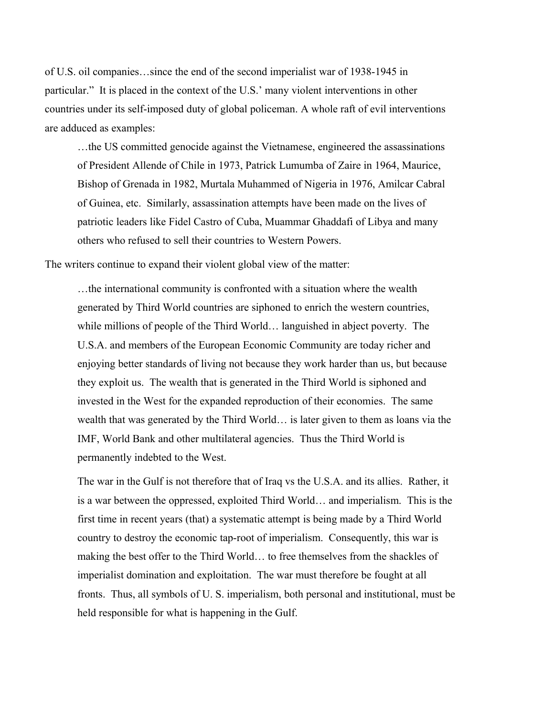of U.S. oil companies…since the end of the second imperialist war of 1938-1945 in particular." It is placed in the context of the U.S.' many violent interventions in other countries under its self-imposed duty of global policeman. A whole raft of evil interventions are adduced as examples:

…the US committed genocide against the Vietnamese, engineered the assassinations of President Allende of Chile in 1973, Patrick Lumumba of Zaire in 1964, Maurice, Bishop of Grenada in 1982, Murtala Muhammed of Nigeria in 1976, Amilcar Cabral of Guinea, etc. Similarly, assassination attempts have been made on the lives of patriotic leaders like Fidel Castro of Cuba, Muammar Ghaddafi of Libya and many others who refused to sell their countries to Western Powers.

The writers continue to expand their violent global view of the matter:

…the international community is confronted with a situation where the wealth generated by Third World countries are siphoned to enrich the western countries, while millions of people of the Third World… languished in abject poverty. The U.S.A. and members of the European Economic Community are today richer and enjoying better standards of living not because they work harder than us, but because they exploit us. The wealth that is generated in the Third World is siphoned and invested in the West for the expanded reproduction of their economies. The same wealth that was generated by the Third World… is later given to them as loans via the IMF, World Bank and other multilateral agencies. Thus the Third World is permanently indebted to the West.

The war in the Gulf is not therefore that of Iraq vs the U.S.A. and its allies. Rather, it is a war between the oppressed, exploited Third World… and imperialism. This is the first time in recent years (that) a systematic attempt is being made by a Third World country to destroy the economic tap-root of imperialism. Consequently, this war is making the best offer to the Third World… to free themselves from the shackles of imperialist domination and exploitation. The war must therefore be fought at all fronts. Thus, all symbols of U. S. imperialism, both personal and institutional, must be held responsible for what is happening in the Gulf.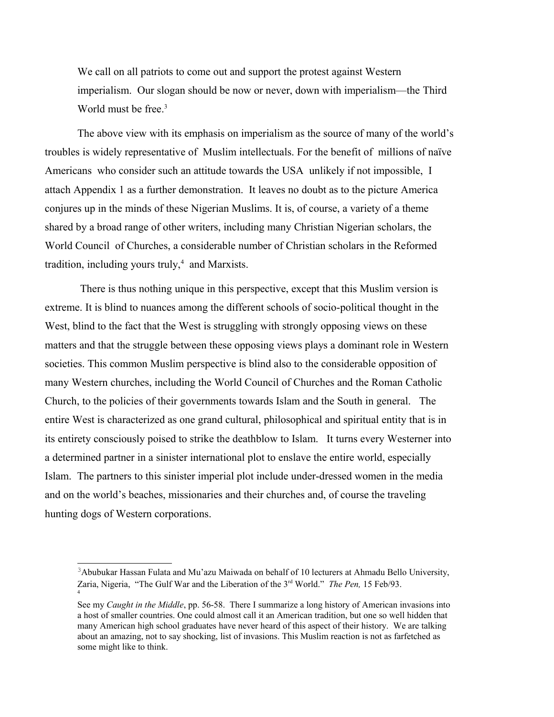We call on all patriots to come out and support the protest against Western imperialism. Our slogan should be now or never, down with imperialism—the Third World must be free.<sup>[3](#page-2-0)</sup>

The above view with its emphasis on imperialism as the source of many of the world's troubles is widely representative of Muslim intellectuals. For the benefit of millions of naïve Americans who consider such an attitude towards the USA unlikely if not impossible, I attach Appendix 1 as a further demonstration. It leaves no doubt as to the picture America conjures up in the minds of these Nigerian Muslims. It is, of course, a variety of a theme shared by a broad range of other writers, including many Christian Nigerian scholars, the World Council of Churches, a considerable number of Christian scholars in the Reformed tradition, including yours truly, $4$  and Marxists.

 There is thus nothing unique in this perspective, except that this Muslim version is extreme. It is blind to nuances among the different schools of socio-political thought in the West, blind to the fact that the West is struggling with strongly opposing views on these matters and that the struggle between these opposing views plays a dominant role in Western societies. This common Muslim perspective is blind also to the considerable opposition of many Western churches, including the World Council of Churches and the Roman Catholic Church, to the policies of their governments towards Islam and the South in general. The entire West is characterized as one grand cultural, philosophical and spiritual entity that is in its entirety consciously poised to strike the deathblow to Islam. It turns every Westerner into a determined partner in a sinister international plot to enslave the entire world, especially Islam. The partners to this sinister imperial plot include under-dressed women in the media and on the world's beaches, missionaries and their churches and, of course the traveling hunting dogs of Western corporations.

<span id="page-2-0"></span><sup>&</sup>lt;sup>3</sup>Abubukar Hassan Fulata and Mu'azu Maiwada on behalf of 10 lecturers at Ahmadu Bello University, Zaria, Nigeria, "The Gulf War and the Liberation of the 3rd World." *The Pen,* 15 Feb/93. 4

<span id="page-2-1"></span>See my *Caught in the Middle*, pp. 56-58. There I summarize a long history of American invasions into a host of smaller countries. One could almost call it an American tradition, but one so well hidden that many American high school graduates have never heard of this aspect of their history. We are talking about an amazing, not to say shocking, list of invasions. This Muslim reaction is not as farfetched as some might like to think.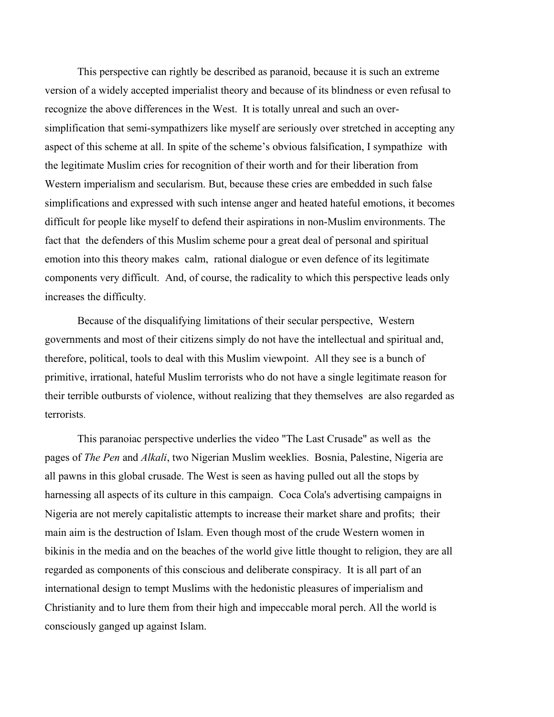This perspective can rightly be described as paranoid, because it is such an extreme version of a widely accepted imperialist theory and because of its blindness or even refusal to recognize the above differences in the West. It is totally unreal and such an oversimplification that semi-sympathizers like myself are seriously over stretched in accepting any aspect of this scheme at all. In spite of the scheme's obvious falsification, I sympathize with the legitimate Muslim cries for recognition of their worth and for their liberation from Western imperialism and secularism. But, because these cries are embedded in such false simplifications and expressed with such intense anger and heated hateful emotions, it becomes difficult for people like myself to defend their aspirations in non-Muslim environments. The fact that the defenders of this Muslim scheme pour a great deal of personal and spiritual emotion into this theory makes calm, rational dialogue or even defence of its legitimate components very difficult. And, of course, the radicality to which this perspective leads only increases the difficulty.

Because of the disqualifying limitations of their secular perspective, Western governments and most of their citizens simply do not have the intellectual and spiritual and, therefore, political, tools to deal with this Muslim viewpoint. All they see is a bunch of primitive, irrational, hateful Muslim terrorists who do not have a single legitimate reason for their terrible outbursts of violence, without realizing that they themselves are also regarded as terrorists.

This paranoiac perspective underlies the video "The Last Crusade" as well as the pages of *The Pen* and *Alkali*, two Nigerian Muslim weeklies. Bosnia, Palestine, Nigeria are all pawns in this global crusade. The West is seen as having pulled out all the stops by harnessing all aspects of its culture in this campaign. Coca Cola's advertising campaigns in Nigeria are not merely capitalistic attempts to increase their market share and profits; their main aim is the destruction of Islam. Even though most of the crude Western women in bikinis in the media and on the beaches of the world give little thought to religion, they are all regarded as components of this conscious and deliberate conspiracy. It is all part of an international design to tempt Muslims with the hedonistic pleasures of imperialism and Christianity and to lure them from their high and impeccable moral perch. All the world is consciously ganged up against Islam.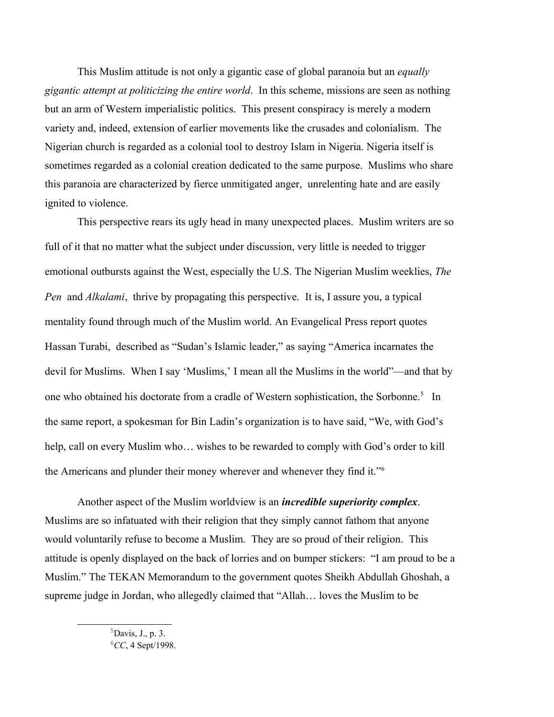This Muslim attitude is not only a gigantic case of global paranoia but an *equally gigantic attempt at politicizing the entire world*. In this scheme, missions are seen as nothing but an arm of Western imperialistic politics. This present conspiracy is merely a modern variety and, indeed, extension of earlier movements like the crusades and colonialism. The Nigerian church is regarded as a colonial tool to destroy Islam in Nigeria. Nigeria itself is sometimes regarded as a colonial creation dedicated to the same purpose. Muslims who share this paranoia are characterized by fierce unmitigated anger, unrelenting hate and are easily ignited to violence.

This perspective rears its ugly head in many unexpected places. Muslim writers are so full of it that no matter what the subject under discussion, very little is needed to trigger emotional outbursts against the West, especially the U.S. The Nigerian Muslim weeklies, *The Pen* and *Alkalami*,thrive by propagating this perspective. It is, I assure you, a typical mentality found through much of the Muslim world. An Evangelical Press report quotes Hassan Turabi, described as "Sudan's Islamic leader," as saying "America incarnates the devil for Muslims. When I say 'Muslims,' I mean all the Muslims in the world"—and that by one who obtained his doctorate from a cradle of Western sophistication, the Sorbonne.<sup>[5](#page-4-0)</sup> In the same report, a spokesman for Bin Ladin's organization is to have said, "We, with God's help, call on every Muslim who… wishes to be rewarded to comply with God's order to kill the Americans and plunder their money wherever and whenever they find it."[6](#page-4-1)

Another aspect of the Muslim worldview is an *incredible superiority complex*. Muslims are so infatuated with their religion that they simply cannot fathom that anyone would voluntarily refuse to become a Muslim. They are so proud of their religion. This attitude is openly displayed on the back of lorries and on bumper stickers: "I am proud to be a Muslim." The TEKAN Memorandum to the government quotes Sheikh Abdullah Ghoshah, a supreme judge in Jordan, who allegedly claimed that "Allah… loves the Muslim to be

> <span id="page-4-1"></span><span id="page-4-0"></span><sup>5</sup>Davis, J., p. 3. <sup>6</sup>*CC*, 4 Sept/1998.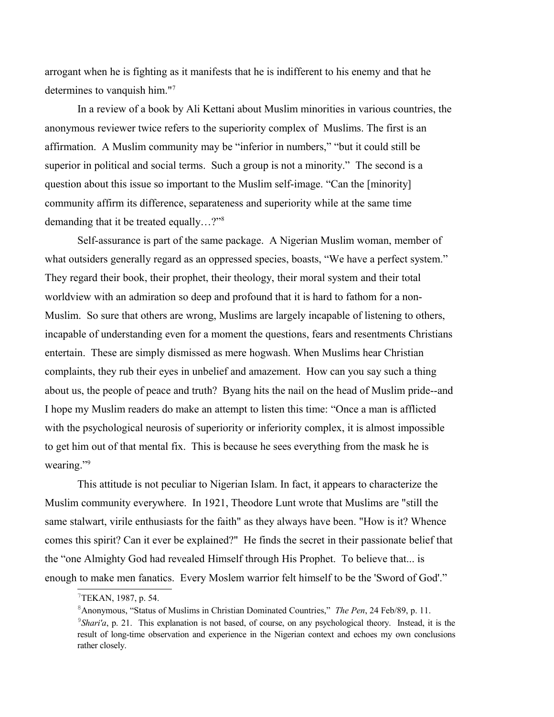arrogant when he is fighting as it manifests that he is indifferent to his enemy and that he determines to vanquish him."[7](#page-5-0)

In a review of a book by Ali Kettani about Muslim minorities in various countries, the anonymous reviewer twice refers to the superiority complex of Muslims. The first is an affirmation. A Muslim community may be "inferior in numbers," "but it could still be superior in political and social terms. Such a group is not a minority." The second is a question about this issue so important to the Muslim self-image. "Can the [minority] community affirm its difference, separateness and superiority while at the same time demanding that it be treated equally…?"[8](#page-5-1)

Self-assurance is part of the same package. A Nigerian Muslim woman, member of what outsiders generally regard as an oppressed species, boasts, "We have a perfect system." They regard their book, their prophet, their theology, their moral system and their total worldview with an admiration so deep and profound that it is hard to fathom for a non-Muslim. So sure that others are wrong, Muslims are largely incapable of listening to others, incapable of understanding even for a moment the questions, fears and resentments Christians entertain. These are simply dismissed as mere hogwash. When Muslims hear Christian complaints, they rub their eyes in unbelief and amazement. How can you say such a thing about us, the people of peace and truth? Byang hits the nail on the head of Muslim pride--and I hope my Muslim readers do make an attempt to listen this time: "Once a man is afflicted with the psychological neurosis of superiority or inferiority complex, it is almost impossible to get him out of that mental fix. This is because he sees everything from the mask he is wearing."<sup>[9](#page-5-2)</sup>

This attitude is not peculiar to Nigerian Islam. In fact, it appears to characterize the Muslim community everywhere. In 1921, Theodore Lunt wrote that Muslims are "still the same stalwart, virile enthusiasts for the faith" as they always have been. "How is it? Whence comes this spirit? Can it ever be explained?" He finds the secret in their passionate belief that the "one Almighty God had revealed Himself through His Prophet. To believe that... is enough to make men fanatics. Every Moslem warrior felt himself to be the 'Sword of God'."

<span id="page-5-0"></span><sup>7</sup>TEKAN, 1987, p. 54.

<span id="page-5-2"></span><span id="page-5-1"></span><sup>8</sup>Anonymous, "Status of Muslims in Christian Dominated Countries," *The Pen*, 24 Feb/89, p. 11. <sup>9</sup>Shari'a, p. 21. This explanation is not based, of course, on any psychological theory. Instead, it is the result of long-time observation and experience in the Nigerian context and echoes my own conclusions rather closely.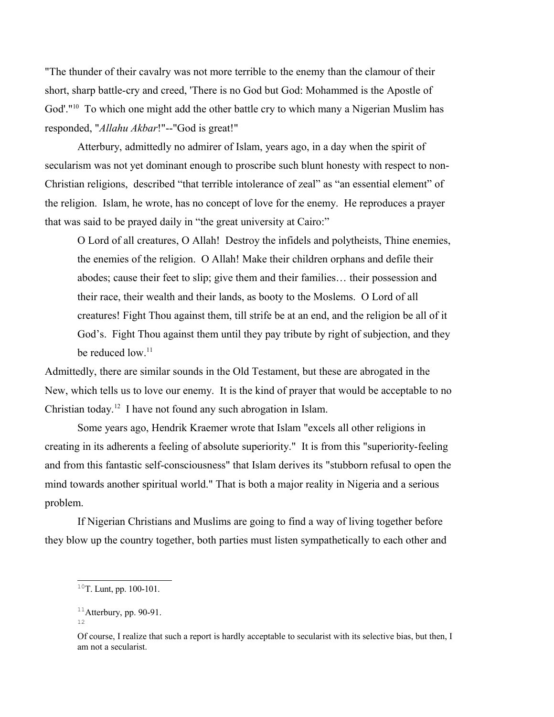"The thunder of their cavalry was not more terrible to the enemy than the clamour of their short, sharp battle-cry and creed, 'There is no God but God: Mohammed is the Apostle of God'."<sup>[10](#page-6-0)</sup> To which one might add the other battle cry to which many a Nigerian Muslim has responded, "*Allahu Akbar*!"--"God is great!"

Atterbury, admittedly no admirer of Islam, years ago, in a day when the spirit of secularism was not yet dominant enough to proscribe such blunt honesty with respect to non-Christian religions, described "that terrible intolerance of zeal" as "an essential element" of the religion. Islam, he wrote, has no concept of love for the enemy. He reproduces a prayer that was said to be prayed daily in "the great university at Cairo:"

O Lord of all creatures, O Allah! Destroy the infidels and polytheists, Thine enemies, the enemies of the religion. O Allah! Make their children orphans and defile their abodes; cause their feet to slip; give them and their families… their possession and their race, their wealth and their lands, as booty to the Moslems. O Lord of all creatures! Fight Thou against them, till strife be at an end, and the religion be all of it God's. Fight Thou against them until they pay tribute by right of subjection, and they be reduced low.<sup>[11](#page-6-1)</sup>

Admittedly, there are similar sounds in the Old Testament, but these are abrogated in the New, which tells us to love our enemy. It is the kind of prayer that would be acceptable to no Christian today.<sup>[12](#page-6-2)</sup> I have not found any such abrogation in Islam.

Some years ago, Hendrik Kraemer wrote that Islam "excels all other religions in creating in its adherents a feeling of absolute superiority." It is from this "superiority-feeling and from this fantastic self-consciousness" that Islam derives its "stubborn refusal to open the mind towards another spiritual world." That is both a major reality in Nigeria and a serious problem.

If Nigerian Christians and Muslims are going to find a way of living together before they blow up the country together, both parties must listen sympathetically to each other and

<span id="page-6-0"></span> $10T$ . Lunt, pp. 100-101.

<span id="page-6-1"></span> $11$ Atterbury, pp. 90-91.

<span id="page-6-2"></span><sup>12</sup>

Of course, I realize that such a report is hardly acceptable to secularist with its selective bias, but then, I am not a secularist.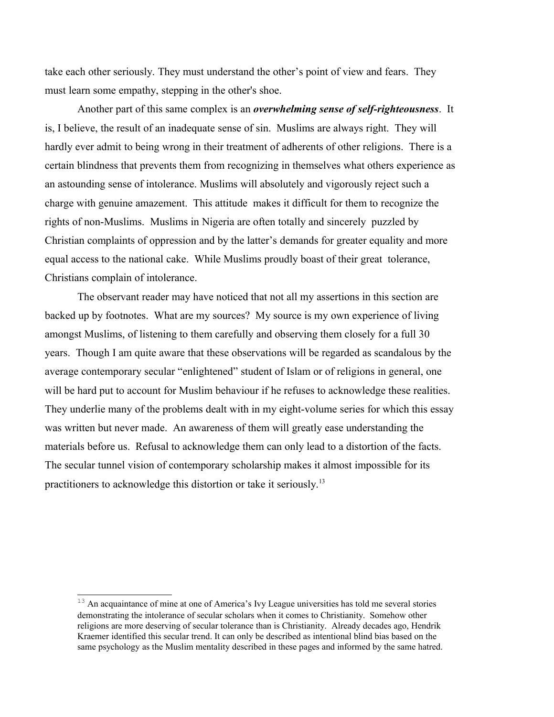take each other seriously. They must understand the other's point of view and fears. They must learn some empathy, stepping in the other's shoe.

Another part of this same complex is an *overwhelming sense of self-righteousness*. It is, I believe, the result of an inadequate sense of sin. Muslims are always right. They will hardly ever admit to being wrong in their treatment of adherents of other religions. There is a certain blindness that prevents them from recognizing in themselves what others experience as an astounding sense of intolerance. Muslims will absolutely and vigorously reject such a charge with genuine amazement. This attitude makes it difficult for them to recognize the rights of non-Muslims. Muslims in Nigeria are often totally and sincerely puzzled by Christian complaints of oppression and by the latter's demands for greater equality and more equal access to the national cake. While Muslims proudly boast of their great tolerance, Christians complain of intolerance.

The observant reader may have noticed that not all my assertions in this section are backed up by footnotes. What are my sources? My source is my own experience of living amongst Muslims, of listening to them carefully and observing them closely for a full 30 years. Though I am quite aware that these observations will be regarded as scandalous by the average contemporary secular "enlightened" student of Islam or of religions in general, one will be hard put to account for Muslim behaviour if he refuses to acknowledge these realities. They underlie many of the problems dealt with in my eight-volume series for which this essay was written but never made. An awareness of them will greatly ease understanding the materials before us. Refusal to acknowledge them can only lead to a distortion of the facts. The secular tunnel vision of contemporary scholarship makes it almost impossible for its practitioners to acknowledge this distortion or take it seriously.[13](#page-7-0)

<span id="page-7-0"></span><sup>&</sup>lt;sup>13</sup> An acquaintance of mine at one of America's Ivy League universities has told me several stories demonstrating the intolerance of secular scholars when it comes to Christianity. Somehow other religions are more deserving of secular tolerance than is Christianity. Already decades ago, Hendrik Kraemer identified this secular trend. It can only be described as intentional blind bias based on the same psychology as the Muslim mentality described in these pages and informed by the same hatred.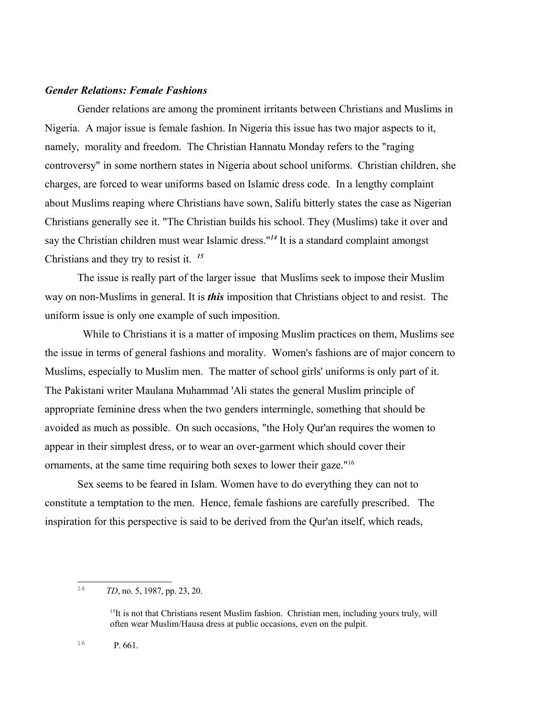#### *Gender Relations: Female Fashions*

Gender relations are among the prominent irritants between Christians and Muslims in Nigeria. A major issue is female fashion. In Nigeria this issue has two major aspects to it, namely, morality and freedom. The Christian Hannatu Monday refers to the "raging controversy" in some northern states in Nigeria about school uniforms. Christian children, she charges, are forced to wear uniforms based on Islamic dress code. In a lengthy complaint about Muslims reaping where Christians have sown, Salifu bitterly states the case as Nigerian Christians generally see it. "The Christian builds his school. They (Muslims) take it over and say the Christian children must wear Islamic dress."*[14](#page-8-0)* It is a standard complaint amongst Christians and they try to resist it. *[15](#page-8-1)*

The issue is really part of the larger issue that Muslims seek to impose their Muslim way on non-Muslims in general. It is *this* imposition that Christians object to and resist. The uniform issue is only one example of such imposition.

 While to Christians it is a matter of imposing Muslim practices on them, Muslims see the issue in terms of general fashions and morality. Women's fashions are of major concern to Muslims, especially to Muslim men. The matter of school girls' uniforms is only part of it. The Pakistani writer Maulana Muhammad 'Ali states the general Muslim principle of appropriate feminine dress when the two genders intermingle, something that should be avoided as much as possible. On such occasions, "the Holy Qur'an requires the women to appear in their simplest dress, or to wear an over-garment which should cover their ornaments, at the same time requiring both sexes to lower their gaze."[16](#page-8-2)

Sex seems to be feared in Islam. Women have to do everything they can not to constitute a temptation to the men. Hence, female fashions are carefully prescribed. The inspiration for this perspective is said to be derived from the Qur'an itself, which reads,

<span id="page-8-2"></span>16 P. 661.

<span id="page-8-0"></span><sup>14</sup> *TD*, no. 5, 1987, pp. 23, 20.

<span id="page-8-1"></span> $15$ It is not that Christians resent Muslim fashion. Christian men, including yours truly, will often wear Muslim/Hausa dress at public occasions, even on the pulpit.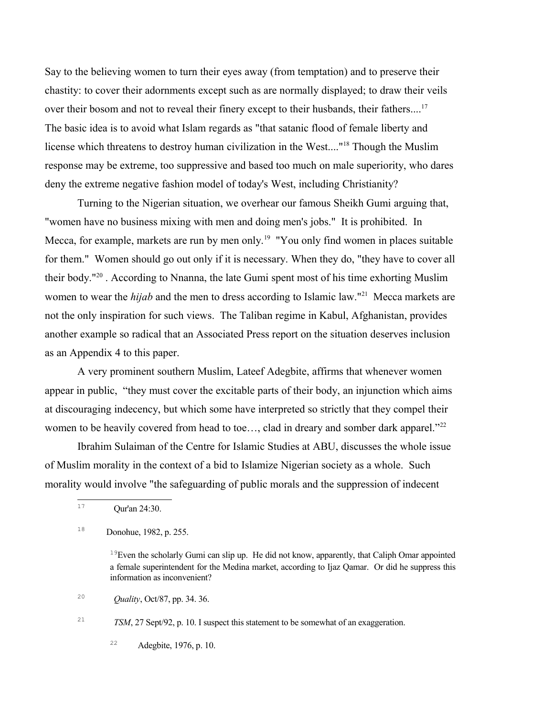Say to the believing women to turn their eyes away (from temptation) and to preserve their chastity: to cover their adornments except such as are normally displayed; to draw their veils over their bosom and not to reveal their finery except to their husbands, their fathers....<sup>[17](#page-9-0)</sup> The basic idea is to avoid what Islam regards as "that satanic flood of female liberty and license which threatens to destroy human civilization in the West...."[18](#page-9-1) Though the Muslim response may be extreme, too suppressive and based too much on male superiority, who dares deny the extreme negative fashion model of today's West, including Christianity?

Turning to the Nigerian situation, we overhear our famous Sheikh Gumi arguing that, "women have no business mixing with men and doing men's jobs." It is prohibited. In Mecca, for example, markets are run by men only.<sup>[19](#page-9-2)</sup> "You only find women in places suitable for them." Women should go out only if it is necessary. When they do, "they have to cover all their body."[20](#page-9-3) . According to Nnanna, the late Gumi spent most of his time exhorting Muslim women to wear the *hijab* and the men to dress according to Islamic law."<sup>[21](#page-9-4)</sup> Mecca markets are not the only inspiration for such views. The Taliban regime in Kabul, Afghanistan, provides another example so radical that an Associated Press report on the situation deserves inclusion as an Appendix 4 to this paper.

A very prominent southern Muslim, Lateef Adegbite, affirms that whenever women appear in public, "they must cover the excitable parts of their body, an injunction which aims at discouraging indecency, but which some have interpreted so strictly that they compel their women to be heavily covered from head to toe..., clad in dreary and somber dark apparel."<sup>[22](#page-9-5)</sup>

Ibrahim Sulaiman of the Centre for Islamic Studies at ABU, discusses the whole issue of Muslim morality in the context of a bid to Islamize Nigerian society as a whole. Such morality would involve "the safeguarding of public morals and the suppression of indecent

<span id="page-9-3"></span>20 *Quality*, Oct/87, pp. 34. 36.

<span id="page-9-4"></span>21 *TSM*, 27 Sept/92, p. 10. I suspect this statement to be somewhat of an exaggeration.

<span id="page-9-5"></span>22 Adegbite, 1976, p. 10.

<span id="page-9-0"></span><sup>17</sup> Qur'an 24:30.

<span id="page-9-1"></span><sup>18</sup> Donohue, 1982, p. 255.

<span id="page-9-2"></span><sup>&</sup>lt;sup>19</sup>Even the scholarly Gumi can slip up. He did not know, apparently, that Caliph Omar appointed a female superintendent for the Medina market, according to Ijaz Qamar. Or did he suppress this information as inconvenient?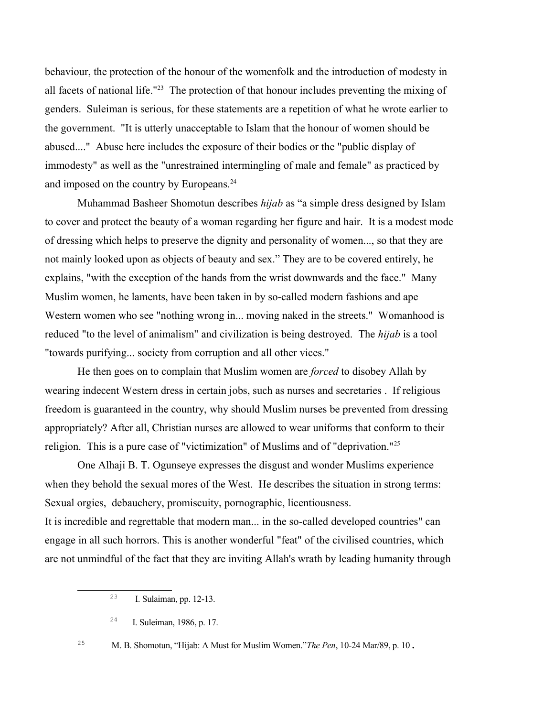behaviour, the protection of the honour of the womenfolk and the introduction of modesty in all facets of national life."[23](#page-10-0) The protection of that honour includes preventing the mixing of genders. Suleiman is serious, for these statements are a repetition of what he wrote earlier to the government. "It is utterly unacceptable to Islam that the honour of women should be abused...." Abuse here includes the exposure of their bodies or the "public display of immodesty" as well as the "unrestrained intermingling of male and female" as practiced by and imposed on the country by Europeans.<sup>[24](#page-10-1)</sup>

Muhammad Basheer Shomotun describes *hijab* as "a simple dress designed by Islam to cover and protect the beauty of a woman regarding her figure and hair. It is a modest mode of dressing which helps to preserve the dignity and personality of women..., so that they are not mainly looked upon as objects of beauty and sex." They are to be covered entirely, he explains, "with the exception of the hands from the wrist downwards and the face." Many Muslim women, he laments, have been taken in by so-called modern fashions and ape Western women who see "nothing wrong in... moving naked in the streets." Womanhood is reduced "to the level of animalism" and civilization is being destroyed. The *hijab* is a tool "towards purifying... society from corruption and all other vices."

He then goes on to complain that Muslim women are *forced* to disobey Allah by wearing indecent Western dress in certain jobs, such as nurses and secretaries . If religious freedom is guaranteed in the country, why should Muslim nurses be prevented from dressing appropriately? After all, Christian nurses are allowed to wear uniforms that conform to their religion. This is a pure case of "victimization" of Muslims and of "deprivation."[25](#page-10-2)

One Alhaji B. T. Ogunseye expresses the disgust and wonder Muslims experience when they behold the sexual mores of the West. He describes the situation in strong terms: Sexual orgies, debauchery, promiscuity, pornographic, licentiousness. It is incredible and regrettable that modern man... in the so-called developed countries" can

engage in all such horrors. This is another wonderful "feat" of the civilised countries, which are not unmindful of the fact that they are inviting Allah's wrath by leading humanity through

<span id="page-10-2"></span>M. B. Shomotun, "Hijab: A Must for Muslim Women."*The Pen*, 10-24 Mar/89, p. 10.

25

<span id="page-10-0"></span><sup>23</sup> I. Sulaiman, pp. 12-13.

<span id="page-10-1"></span><sup>24</sup> I. Suleiman, 1986, p. 17.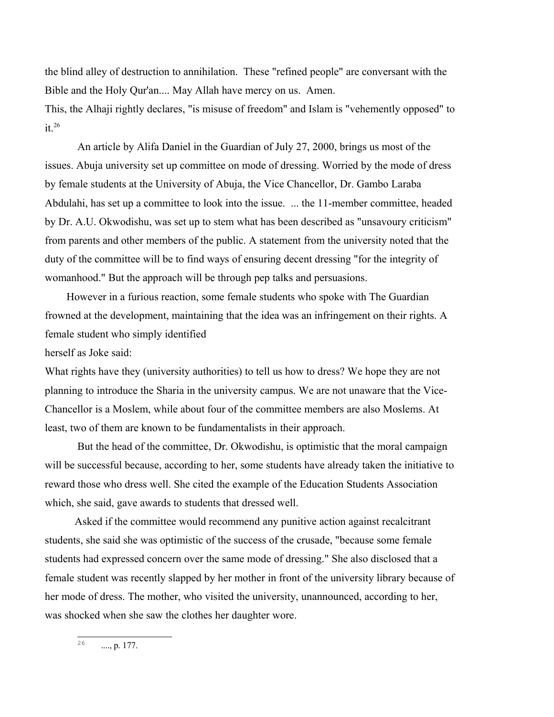the blind alley of destruction to annihilation. These "refined people" are conversant with the Bible and the Holy Qur'an.... May Allah have mercy on us. Amen.

This, the Alhaji rightly declares, "is misuse of freedom" and Islam is "vehemently opposed" to it.[26](#page-11-0)

An article by Alifa Daniel in the Guardian of July 27, 2000, brings us most of the issues. Abuja university set up committee on mode of dressing. Worried by the mode of dress by female students at the University of Abuja, the Vice Chancellor, Dr. Gambo Laraba Abdulahi, has set up a committee to look into the issue. ... the 11-member committee, headed by Dr. A.U. Okwodishu, was set up to stem what has been described as "unsavoury criticism" from parents and other members of the public. A statement from the university noted that the duty of the committee will be to find ways of ensuring decent dressing "for the integrity of womanhood." But the approach will be through pep talks and persuasions.

 However in a furious reaction, some female students who spoke with The Guardian frowned at the development, maintaining that the idea was an infringement on their rights. A female student who simply identified

#### herself as Joke said:

What rights have they (university authorities) to tell us how to dress? We hope they are not planning to introduce the Sharia in the university campus. We are not unaware that the Vice-Chancellor is a Moslem, while about four of the committee members are also Moslems. At least, two of them are known to be fundamentalists in their approach.

But the head of the committee, Dr. Okwodishu, is optimistic that the moral campaign will be successful because, according to her, some students have already taken the initiative to reward those who dress well. She cited the example of the Education Students Association which, she said, gave awards to students that dressed well.

 Asked if the committee would recommend any punitive action against recalcitrant students, she said she was optimistic of the success of the crusade, "because some female students had expressed concern over the same mode of dressing." She also disclosed that a female student was recently slapped by her mother in front of the university library because of her mode of dress. The mother, who visited the university, unannounced, according to her, was shocked when she saw the clothes her daughter wore.

<span id="page-11-0"></span>26 ...., p. 177.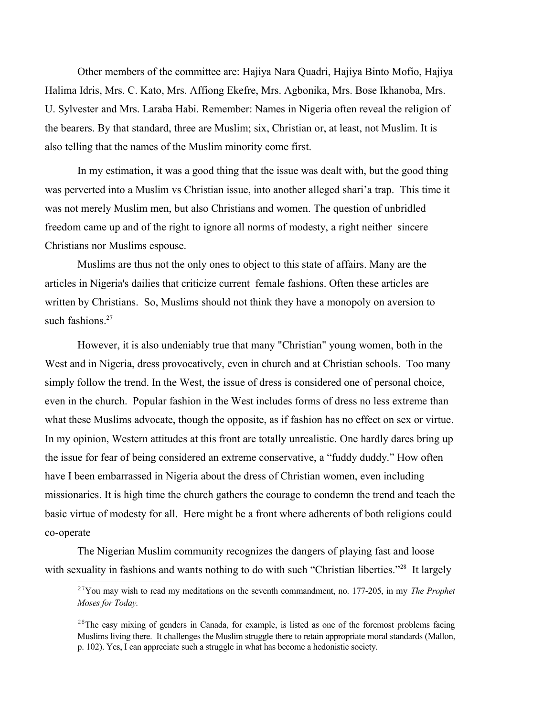Other members of the committee are: Hajiya Nara Quadri, Hajiya Binto Mofio, Hajiya Halima Idris, Mrs. C. Kato, Mrs. Affiong Ekefre, Mrs. Agbonika, Mrs. Bose Ikhanoba, Mrs. U. Sylvester and Mrs. Laraba Habi. Remember: Names in Nigeria often reveal the religion of the bearers. By that standard, three are Muslim; six, Christian or, at least, not Muslim. It is also telling that the names of the Muslim minority come first.

In my estimation, it was a good thing that the issue was dealt with, but the good thing was perverted into a Muslim vs Christian issue, into another alleged shari'a trap. This time it was not merely Muslim men, but also Christians and women. The question of unbridled freedom came up and of the right to ignore all norms of modesty, a right neither sincere Christians nor Muslims espouse.

Muslims are thus not the only ones to object to this state of affairs. Many are the articles in Nigeria's dailies that criticize current female fashions. Often these articles are written by Christians. So, Muslims should not think they have a monopoly on aversion to such fashions.<sup>[27](#page-12-0)</sup>

However, it is also undeniably true that many "Christian" young women, both in the West and in Nigeria, dress provocatively, even in church and at Christian schools. Too many simply follow the trend. In the West, the issue of dress is considered one of personal choice, even in the church. Popular fashion in the West includes forms of dress no less extreme than what these Muslims advocate, though the opposite, as if fashion has no effect on sex or virtue. In my opinion, Western attitudes at this front are totally unrealistic. One hardly dares bring up the issue for fear of being considered an extreme conservative, a "fuddy duddy." How often have I been embarrassed in Nigeria about the dress of Christian women, even including missionaries. It is high time the church gathers the courage to condemn the trend and teach the basic virtue of modesty for all. Here might be a front where adherents of both religions could co-operate

The Nigerian Muslim community recognizes the dangers of playing fast and loose with sexuality in fashions and wants nothing to do with such "Christian liberties."<sup>[28](#page-12-1)</sup> It largely

<span id="page-12-0"></span><sup>27</sup>You may wish to read my meditations on the seventh commandment, no. 177-205, in my *The Prophet Moses for Today.*

<span id="page-12-1"></span> $^{28}$ The easy mixing of genders in Canada, for example, is listed as one of the foremost problems facing Muslims living there. It challenges the Muslim struggle there to retain appropriate moral standards (Mallon, p. 102). Yes, I can appreciate such a struggle in what has become a hedonistic society.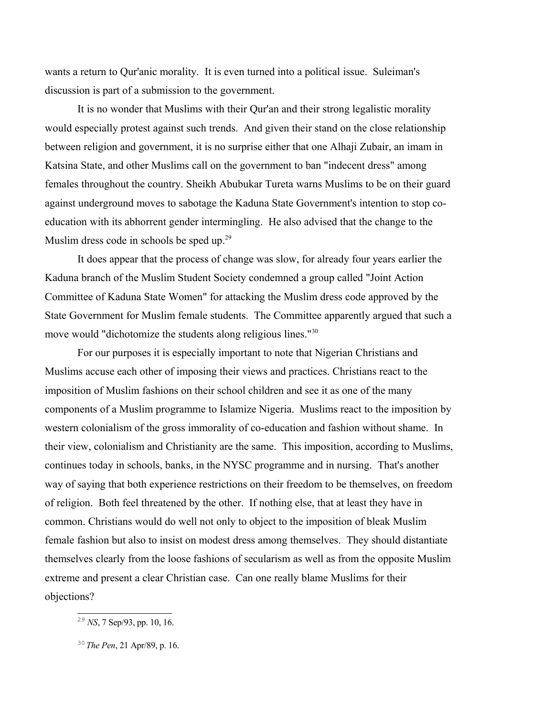wants a return to Qur'anic morality. It is even turned into a political issue. Suleiman's discussion is part of a submission to the government.

It is no wonder that Muslims with their Qur'an and their strong legalistic morality would especially protest against such trends. And given their stand on the close relationship between religion and government, it is no surprise either that one Alhaji Zubair, an imam in Katsina State, and other Muslims call on the government to ban "indecent dress" among females throughout the country. Sheikh Abubukar Tureta warns Muslims to be on their guard against underground moves to sabotage the Kaduna State Government's intention to stop coeducation with its abhorrent gender intermingling. He also advised that the change to the Muslim dress code in schools be sped up.<sup>[29](#page-13-0)</sup>

It does appear that the process of change was slow, for already four years earlier the Kaduna branch of the Muslim Student Society condemned a group called "Joint Action Committee of Kaduna State Women" for attacking the Muslim dress code approved by the State Government for Muslim female students. The Committee apparently argued that such a move would "dichotomize the students along religious lines."<sup>[30](#page-13-1)</sup>

For our purposes it is especially important to note that Nigerian Christians and Muslims accuse each other of imposing their views and practices. Christians react to the imposition of Muslim fashions on their school children and see it as one of the many components of a Muslim programme to Islamize Nigeria. Muslims react to the imposition by western colonialism of the gross immorality of co-education and fashion without shame. In their view, colonialism and Christianity are the same. This imposition, according to Muslims, continues today in schools, banks, in the NYSC programme and in nursing. That's another way of saying that both experience restrictions on their freedom to be themselves, on freedom of religion. Both feel threatened by the other. If nothing else, that at least they have in common. Christians would do well not only to object to the imposition of bleak Muslim female fashion but also to insist on modest dress among themselves. They should distantiate themselves clearly from the loose fashions of secularism as well as from the opposite Muslim extreme and present a clear Christian case. Can one really blame Muslims for their objections?

<span id="page-13-0"></span><sup>29</sup> *NS*, 7 Sep/93, pp. 10, 16.

<span id="page-13-1"></span><sup>30</sup> *The Pen*, 21 Apr/89, p. 16.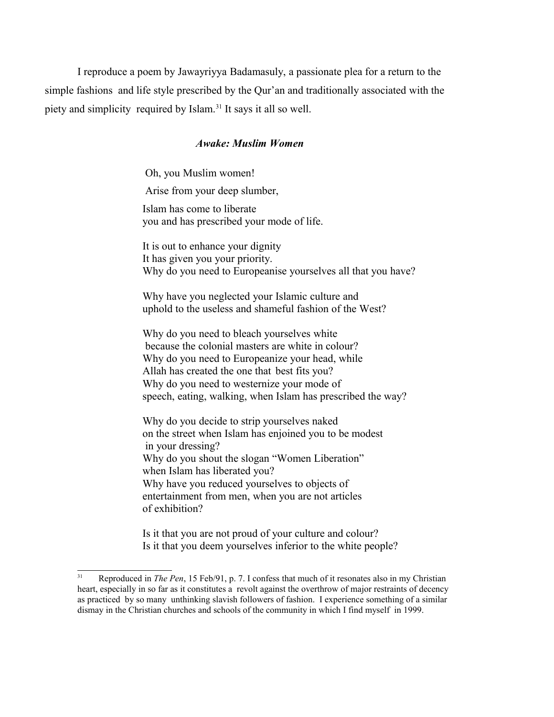I reproduce a poem by Jawayriyya Badamasuly, a passionate plea for a return to the simple fashions and life style prescribed by the Qur'an and traditionally associated with the piety and simplicity required by Islam.<sup>[31](#page-14-0)</sup> It says it all so well.

#### *Awake: Muslim Women*

Oh, you Muslim women!

Arise from your deep slumber,

Islam has come to liberate you and has prescribed your mode of life.

It is out to enhance your dignity It has given you your priority. Why do you need to Europeanise yourselves all that you have?

Why have you neglected your Islamic culture and uphold to the useless and shameful fashion of the West?

Why do you need to bleach yourselves white because the colonial masters are white in colour? Why do you need to Europeanize your head, while Allah has created the one that best fits you? Why do you need to westernize your mode of speech, eating, walking, when Islam has prescribed the way?

Why do you decide to strip yourselves naked on the street when Islam has enjoined you to be modest in your dressing? Why do you shout the slogan "Women Liberation" when Islam has liberated you? Why have you reduced yourselves to objects of entertainment from men, when you are not articles of exhibition?

Is it that you are not proud of your culture and colour? Is it that you deem yourselves inferior to the white people?

<span id="page-14-0"></span><sup>31</sup> Reproduced in *The Pen*, 15 Feb/91, p. 7. I confess that much of it resonates also in my Christian heart, especially in so far as it constitutes a revolt against the overthrow of major restraints of decency as practiced by so many unthinking slavish followers of fashion. I experience something of a similar dismay in the Christian churches and schools of the community in which I find myself in 1999.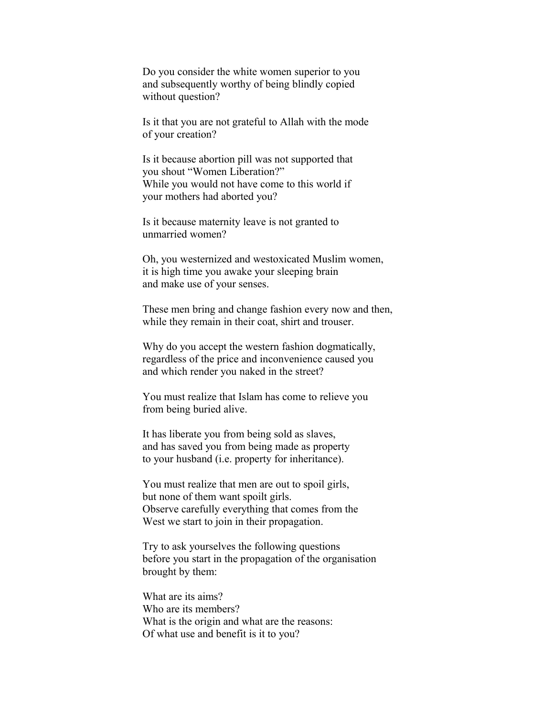Do you consider the white women superior to you and subsequently worthy of being blindly copied without question?

Is it that you are not grateful to Allah with the mode of your creation?

Is it because abortion pill was not supported that you shout "Women Liberation?" While you would not have come to this world if your mothers had aborted you?

Is it because maternity leave is not granted to unmarried women?

Oh, you westernized and westoxicated Muslim women, it is high time you awake your sleeping brain and make use of your senses.

These men bring and change fashion every now and then, while they remain in their coat, shirt and trouser.

Why do you accept the western fashion dogmatically, regardless of the price and inconvenience caused you and which render you naked in the street?

You must realize that Islam has come to relieve you from being buried alive.

It has liberate you from being sold as slaves, and has saved you from being made as property to your husband (i.e. property for inheritance).

You must realize that men are out to spoil girls, but none of them want spoilt girls. Observe carefully everything that comes from the West we start to join in their propagation.

Try to ask yourselves the following questions before you start in the propagation of the organisation brought by them:

What are its aims? Who are its members? What is the origin and what are the reasons: Of what use and benefit is it to you?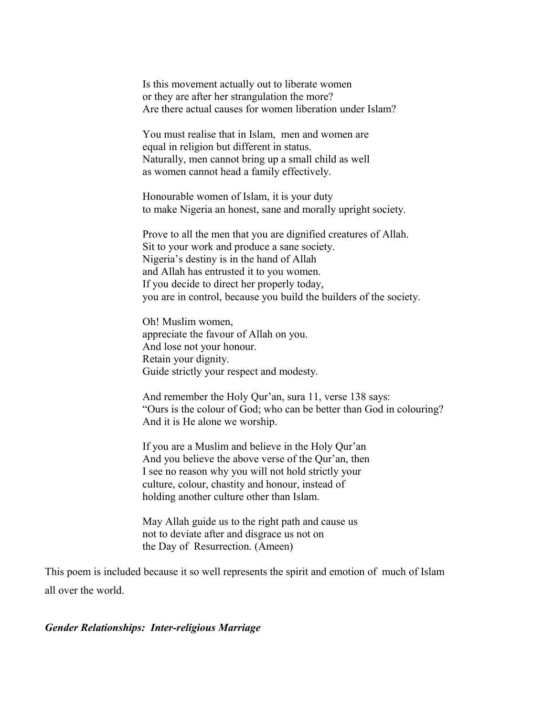Is this movement actually out to liberate women or they are after her strangulation the more? Are there actual causes for women liberation under Islam?

You must realise that in Islam, men and women are equal in religion but different in status. Naturally, men cannot bring up a small child as well as women cannot head a family effectively.

Honourable women of Islam, it is your duty to make Nigeria an honest, sane and morally upright society.

Prove to all the men that you are dignified creatures of Allah. Sit to your work and produce a sane society. Nigeria's destiny is in the hand of Allah and Allah has entrusted it to you women. If you decide to direct her properly today, you are in control, because you build the builders of the society.

Oh! Muslim women, appreciate the favour of Allah on you. And lose not your honour. Retain your dignity. Guide strictly your respect and modesty.

And remember the Holy Qur'an, sura 11, verse 138 says: "Ours is the colour of God; who can be better than God in colouring? And it is He alone we worship.

If you are a Muslim and believe in the Holy Qur'an And you believe the above verse of the Qur'an, then I see no reason why you will not hold strictly your culture, colour, chastity and honour, instead of holding another culture other than Islam.

May Allah guide us to the right path and cause us not to deviate after and disgrace us not on the Day of Resurrection. (Ameen)

This poem is included because it so well represents the spirit and emotion of much of Islam all over the world.

#### *Gender Relationships: Inter-religious Marriage*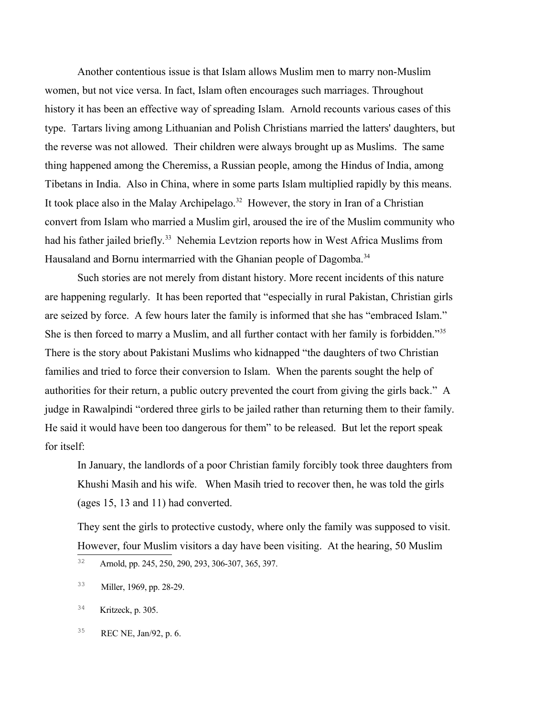Another contentious issue is that Islam allows Muslim men to marry non-Muslim women, but not vice versa. In fact, Islam often encourages such marriages. Throughout history it has been an effective way of spreading Islam. Arnold recounts various cases of this type. Tartars living among Lithuanian and Polish Christians married the latters' daughters, but the reverse was not allowed. Their children were always brought up as Muslims. The same thing happened among the Cheremiss, a Russian people, among the Hindus of India, among Tibetans in India. Also in China, where in some parts Islam multiplied rapidly by this means. It took place also in the Malay Archipelago.<sup>[32](#page-17-0)</sup> However, the story in Iran of a Christian convert from Islam who married a Muslim girl, aroused the ire of the Muslim community who had his father jailed briefly.<sup>[33](#page-17-1)</sup> Nehemia Levtzion reports how in West Africa Muslims from Hausaland and Bornu intermarried with the Ghanian people of Dagomba.<sup>[34](#page-17-2)</sup>

Such stories are not merely from distant history. More recent incidents of this nature are happening regularly. It has been reported that "especially in rural Pakistan, Christian girls are seized by force. A few hours later the family is informed that she has "embraced Islam." She is then forced to marry a Muslim, and all further contact with her family is forbidden."<sup>[35](#page-17-3)</sup> There is the story about Pakistani Muslims who kidnapped "the daughters of two Christian families and tried to force their conversion to Islam. When the parents sought the help of authorities for their return, a public outcry prevented the court from giving the girls back." A judge in Rawalpindi "ordered three girls to be jailed rather than returning them to their family. He said it would have been too dangerous for them" to be released. But let the report speak for itself:

In January, the landlords of a poor Christian family forcibly took three daughters from Khushi Masih and his wife. When Masih tried to recover then, he was told the girls (ages 15, 13 and 11) had converted.

They sent the girls to protective custody, where only the family was supposed to visit. However, four Muslim visitors a day have been visiting. At the hearing, 50 Muslim

<span id="page-17-0"></span><sup>32</sup> Arnold, pp. 245, 250, 290, 293, 306-307, 365, 397.

<span id="page-17-1"></span><sup>33</sup> Miller, 1969, pp. 28-29.

<span id="page-17-2"></span><sup>&</sup>lt;sup>34</sup> Kritzeck, p. 305.

<span id="page-17-3"></span><sup>35</sup> REC NE, Jan/92, p. 6.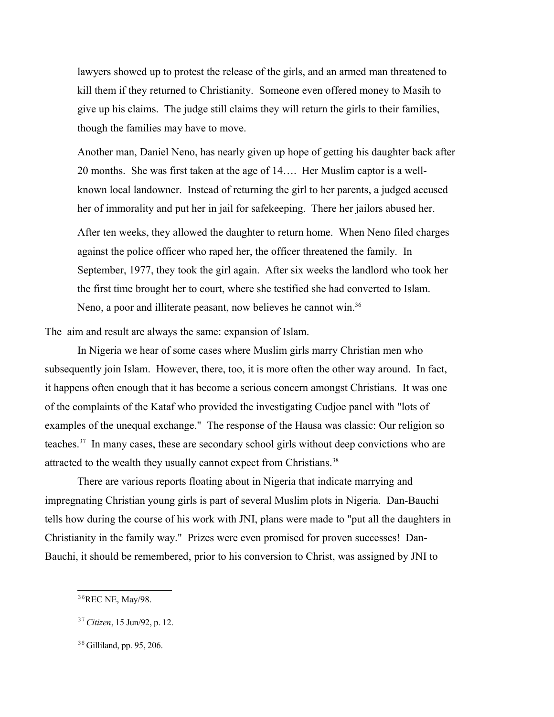lawyers showed up to protest the release of the girls, and an armed man threatened to kill them if they returned to Christianity. Someone even offered money to Masih to give up his claims. The judge still claims they will return the girls to their families, though the families may have to move.

Another man, Daniel Neno, has nearly given up hope of getting his daughter back after 20 months. She was first taken at the age of 14…. Her Muslim captor is a wellknown local landowner. Instead of returning the girl to her parents, a judged accused her of immorality and put her in jail for safekeeping. There her jailors abused her.

After ten weeks, they allowed the daughter to return home. When Neno filed charges against the police officer who raped her, the officer threatened the family. In September, 1977, they took the girl again. After six weeks the landlord who took her the first time brought her to court, where she testified she had converted to Islam. Neno, a poor and illiterate peasant, now believes he cannot win.<sup>[36](#page-18-0)</sup>

The aim and result are always the same: expansion of Islam.

In Nigeria we hear of some cases where Muslim girls marry Christian men who subsequently join Islam. However, there, too, it is more often the other way around. In fact, it happens often enough that it has become a serious concern amongst Christians. It was one of the complaints of the Kataf who provided the investigating Cudjoe panel with "lots of examples of the unequal exchange." The response of the Hausa was classic: Our religion so teaches.[37](#page-18-1) In many cases, these are secondary school girls without deep convictions who are attracted to the wealth they usually cannot expect from Christians.<sup>[38](#page-18-2)</sup>

There are various reports floating about in Nigeria that indicate marrying and impregnating Christian young girls is part of several Muslim plots in Nigeria. Dan-Bauchi tells how during the course of his work with JNI, plans were made to "put all the daughters in Christianity in the family way." Prizes were even promised for proven successes! Dan-Bauchi, it should be remembered, prior to his conversion to Christ, was assigned by JNI to

<span id="page-18-0"></span><sup>36</sup>REC NE, May/98.

<span id="page-18-1"></span><sup>37</sup>*Citizen*, 15 Jun/92, p. 12.

<span id="page-18-2"></span><sup>&</sup>lt;sup>38</sup> Gilliland, pp. 95, 206.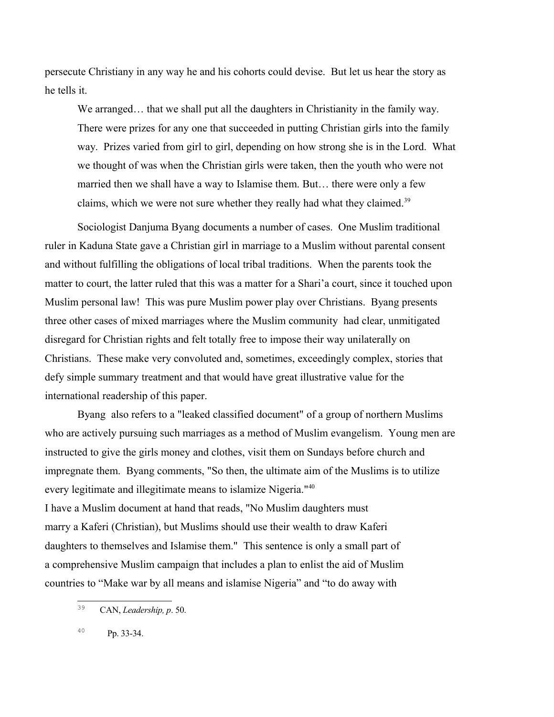persecute Christiany in any way he and his cohorts could devise. But let us hear the story as he tells it.

We arranged... that we shall put all the daughters in Christianity in the family way. There were prizes for any one that succeeded in putting Christian girls into the family way. Prizes varied from girl to girl, depending on how strong she is in the Lord. What we thought of was when the Christian girls were taken, then the youth who were not married then we shall have a way to Islamise them. But… there were only a few claims, which we were not sure whether they really had what they claimed.<sup>[39](#page-19-0)</sup>

Sociologist Danjuma Byang documents a number of cases. One Muslim traditional ruler in Kaduna State gave a Christian girl in marriage to a Muslim without parental consent and without fulfilling the obligations of local tribal traditions. When the parents took the matter to court, the latter ruled that this was a matter for a Shari'a court, since it touched upon Muslim personal law! This was pure Muslim power play over Christians. Byang presents three other cases of mixed marriages where the Muslim community had clear, unmitigated disregard for Christian rights and felt totally free to impose their way unilaterally on Christians. These make very convoluted and, sometimes, exceedingly complex, stories that defy simple summary treatment and that would have great illustrative value for the international readership of this paper.

Byang also refers to a "leaked classified document" of a group of northern Muslims who are actively pursuing such marriages as a method of Muslim evangelism. Young men are instructed to give the girls money and clothes, visit them on Sundays before church and impregnate them. Byang comments, "So then, the ultimate aim of the Muslims is to utilize every legitimate and illegitimate means to islamize Nigeria."[40](#page-19-1)

I have a Muslim document at hand that reads, "No Muslim daughters must marry a Kaferi (Christian), but Muslims should use their wealth to draw Kaferi daughters to themselves and Islamise them." This sentence is only a small part of a comprehensive Muslim campaign that includes a plan to enlist the aid of Muslim countries to "Make war by all means and islamise Nigeria" and "to do away with

<span id="page-19-0"></span><sup>39</sup> CAN, *Leadership, p*. 50.

<span id="page-19-1"></span><sup>40</sup> Pp. 33-34.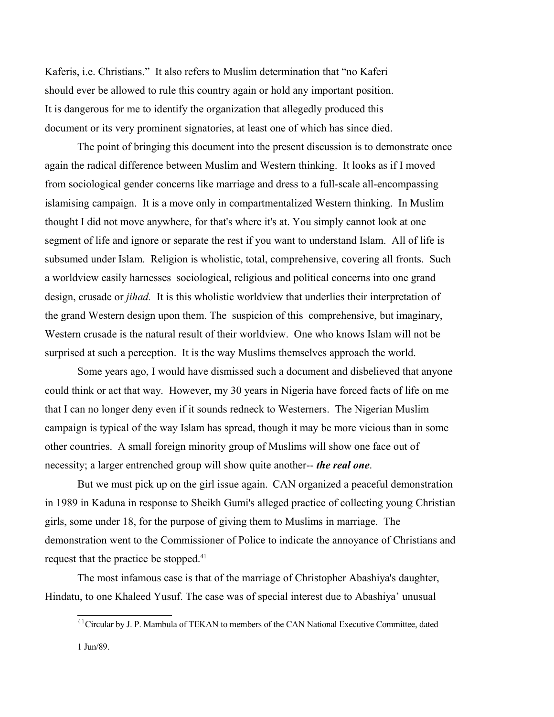Kaferis, i.e. Christians." It also refers to Muslim determination that "no Kaferi should ever be allowed to rule this country again or hold any important position. It is dangerous for me to identify the organization that allegedly produced this document or its very prominent signatories, at least one of which has since died.

The point of bringing this document into the present discussion is to demonstrate once again the radical difference between Muslim and Western thinking. It looks as if I moved from sociological gender concerns like marriage and dress to a full-scale all-encompassing islamising campaign. It is a move only in compartmentalized Western thinking. In Muslim thought I did not move anywhere, for that's where it's at. You simply cannot look at one segment of life and ignore or separate the rest if you want to understand Islam. All of life is subsumed under Islam. Religion is wholistic, total, comprehensive, covering all fronts. Such a worldview easily harnesses sociological, religious and political concerns into one grand design, crusade or *jihad.* It is this wholistic worldview that underlies their interpretation of the grand Western design upon them. The suspicion of this comprehensive, but imaginary, Western crusade is the natural result of their worldview. One who knows Islam will not be surprised at such a perception. It is the way Muslims themselves approach the world.

Some years ago, I would have dismissed such a document and disbelieved that anyone could think or act that way. However, my 30 years in Nigeria have forced facts of life on me that I can no longer deny even if it sounds redneck to Westerners. The Nigerian Muslim campaign is typical of the way Islam has spread, though it may be more vicious than in some other countries. A small foreign minority group of Muslims will show one face out of necessity; a larger entrenched group will show quite another-- *the real one*.

But we must pick up on the girl issue again. CAN organized a peaceful demonstration in 1989 in Kaduna in response to Sheikh Gumi's alleged practice of collecting young Christian girls, some under 18, for the purpose of giving them to Muslims in marriage. The demonstration went to the Commissioner of Police to indicate the annoyance of Christians and request that the practice be stopped.<sup>[41](#page-20-0)</sup>

The most infamous case is that of the marriage of Christopher Abashiya's daughter, Hindatu, to one Khaleed Yusuf. The case was of special interest due to Abashiya' unusual

<span id="page-20-0"></span><sup>&</sup>lt;sup>41</sup>Circular by J. P. Mambula of TEKAN to members of the CAN National Executive Committee, dated 1 Jun/89.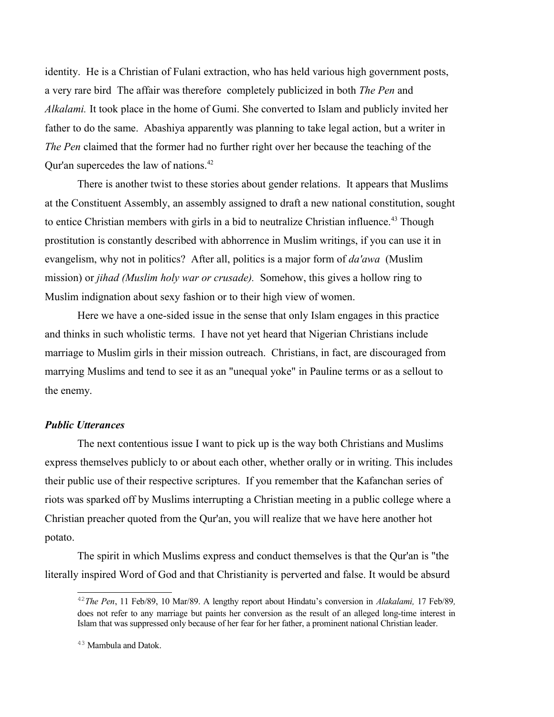identity. He is a Christian of Fulani extraction, who has held various high government posts, a very rare bird The affair was therefore completely publicized in both *The Pen* and *Alkalami.* It took place in the home of Gumi. She converted to Islam and publicly invited her father to do the same. Abashiya apparently was planning to take legal action, but a writer in *The Pen* claimed that the former had no further right over her because the teaching of the Qur'an supercedes the law of nations.<sup>[42](#page-21-0)</sup>

There is another twist to these stories about gender relations. It appears that Muslims at the Constituent Assembly, an assembly assigned to draft a new national constitution, sought to entice Christian members with girls in a bid to neutralize Christian influence.<sup>[43](#page-21-1)</sup> Though prostitution is constantly described with abhorrence in Muslim writings, if you can use it in evangelism, why not in politics? After all, politics is a major form of *da'awa* (Muslim mission) or *jihad (Muslim holy war or crusade).* Somehow, this gives a hollow ring to Muslim indignation about sexy fashion or to their high view of women.

Here we have a one-sided issue in the sense that only Islam engages in this practice and thinks in such wholistic terms. I have not yet heard that Nigerian Christians include marriage to Muslim girls in their mission outreach. Christians, in fact, are discouraged from marrying Muslims and tend to see it as an "unequal yoke" in Pauline terms or as a sellout to the enemy.

#### *Public Utterances*

The next contentious issue I want to pick up is the way both Christians and Muslims express themselves publicly to or about each other, whether orally or in writing. This includes their public use of their respective scriptures. If you remember that the Kafanchan series of riots was sparked off by Muslims interrupting a Christian meeting in a public college where a Christian preacher quoted from the Qur'an, you will realize that we have here another hot potato.

The spirit in which Muslims express and conduct themselves is that the Qur'an is "the literally inspired Word of God and that Christianity is perverted and false. It would be absurd

<span id="page-21-0"></span><sup>42</sup>*The Pen*, 11 Feb/89, 10 Mar/89. A lengthy report about Hindatu's conversion in *Alakalami,* 17 Feb/89*,* does not refer to any marriage but paints her conversion as the result of an alleged long-time interest in Islam that was suppressed only because of her fear for her father, a prominent national Christian leader.

<span id="page-21-1"></span><sup>43</sup> Mambula and Datok.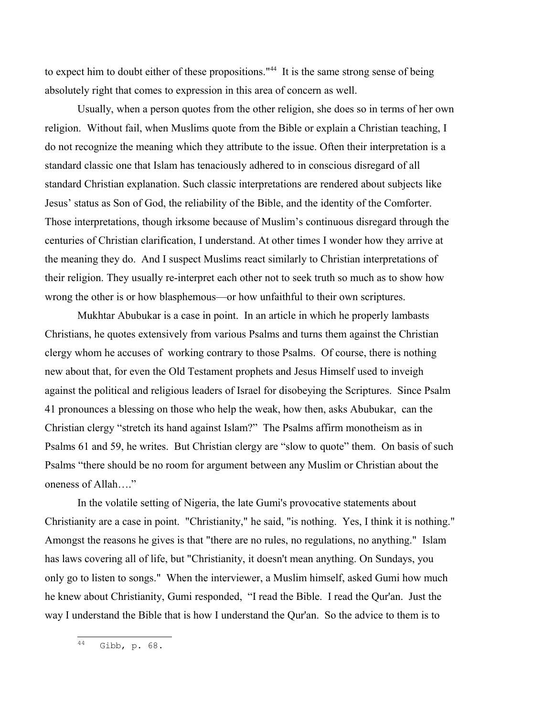to expect him to doubt either of these propositions."<sup>[44](#page-22-0)</sup> It is the same strong sense of being absolutely right that comes to expression in this area of concern as well.

Usually, when a person quotes from the other religion, she does so in terms of her own religion. Without fail, when Muslims quote from the Bible or explain a Christian teaching, I do not recognize the meaning which they attribute to the issue. Often their interpretation is a standard classic one that Islam has tenaciously adhered to in conscious disregard of all standard Christian explanation. Such classic interpretations are rendered about subjects like Jesus' status as Son of God, the reliability of the Bible, and the identity of the Comforter. Those interpretations, though irksome because of Muslim's continuous disregard through the centuries of Christian clarification, I understand. At other times I wonder how they arrive at the meaning they do. And I suspect Muslims react similarly to Christian interpretations of their religion. They usually re-interpret each other not to seek truth so much as to show how wrong the other is or how blasphemous—or how unfaithful to their own scriptures.

Mukhtar Abubukar is a case in point. In an article in which he properly lambasts Christians, he quotes extensively from various Psalms and turns them against the Christian clergy whom he accuses of working contrary to those Psalms. Of course, there is nothing new about that, for even the Old Testament prophets and Jesus Himself used to inveigh against the political and religious leaders of Israel for disobeying the Scriptures. Since Psalm 41 pronounces a blessing on those who help the weak, how then, asks Abubukar, can the Christian clergy "stretch its hand against Islam?" The Psalms affirm monotheism as in Psalms 61 and 59, he writes. But Christian clergy are "slow to quote" them. On basis of such Psalms "there should be no room for argument between any Muslim or Christian about the oneness of Allah…."

In the volatile setting of Nigeria, the late Gumi's provocative statements about Christianity are a case in point. "Christianity," he said, "is nothing. Yes, I think it is nothing." Amongst the reasons he gives is that "there are no rules, no regulations, no anything." Islam has laws covering all of life, but "Christianity, it doesn't mean anything. On Sundays, you only go to listen to songs." When the interviewer, a Muslim himself, asked Gumi how much he knew about Christianity, Gumi responded, "I read the Bible. I read the Qur'an. Just the way I understand the Bible that is how I understand the Qur'an. So the advice to them is to

<span id="page-22-0"></span><sup>44</sup> Gibb, p. 68.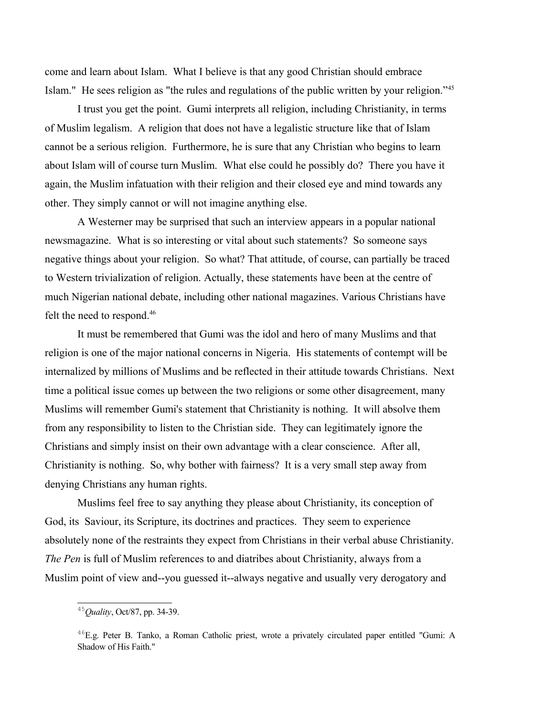come and learn about Islam. What I believe is that any good Christian should embrace Islam." He sees religion as "the rules and regulations of the public written by your religion."[45](#page-23-0)

I trust you get the point. Gumi interprets all religion, including Christianity, in terms of Muslim legalism. A religion that does not have a legalistic structure like that of Islam cannot be a serious religion. Furthermore, he is sure that any Christian who begins to learn about Islam will of course turn Muslim. What else could he possibly do? There you have it again, the Muslim infatuation with their religion and their closed eye and mind towards any other. They simply cannot or will not imagine anything else.

A Westerner may be surprised that such an interview appears in a popular national newsmagazine. What is so interesting or vital about such statements? So someone says negative things about your religion. So what? That attitude, of course, can partially be traced to Western trivialization of religion. Actually, these statements have been at the centre of much Nigerian national debate, including other national magazines. Various Christians have felt the need to respond.<sup>[46](#page-23-1)</sup>

It must be remembered that Gumi was the idol and hero of many Muslims and that religion is one of the major national concerns in Nigeria. His statements of contempt will be internalized by millions of Muslims and be reflected in their attitude towards Christians. Next time a political issue comes up between the two religions or some other disagreement, many Muslims will remember Gumi's statement that Christianity is nothing. It will absolve them from any responsibility to listen to the Christian side. They can legitimately ignore the Christians and simply insist on their own advantage with a clear conscience. After all, Christianity is nothing. So, why bother with fairness? It is a very small step away from denying Christians any human rights.

Muslims feel free to say anything they please about Christianity, its conception of God, its Saviour, its Scripture, its doctrines and practices. They seem to experience absolutely none of the restraints they expect from Christians in their verbal abuse Christianity. *The Pen* is full of Muslim references to and diatribes about Christianity, always from a Muslim point of view and--you guessed it--always negative and usually very derogatory and

<span id="page-23-0"></span><sup>45</sup>*Quality*, Oct/87, pp. 34-39.

<span id="page-23-1"></span><sup>&</sup>lt;sup>46</sup>E.g. Peter B. Tanko, a Roman Catholic priest, wrote a privately circulated paper entitled "Gumi: A Shadow of His Faith."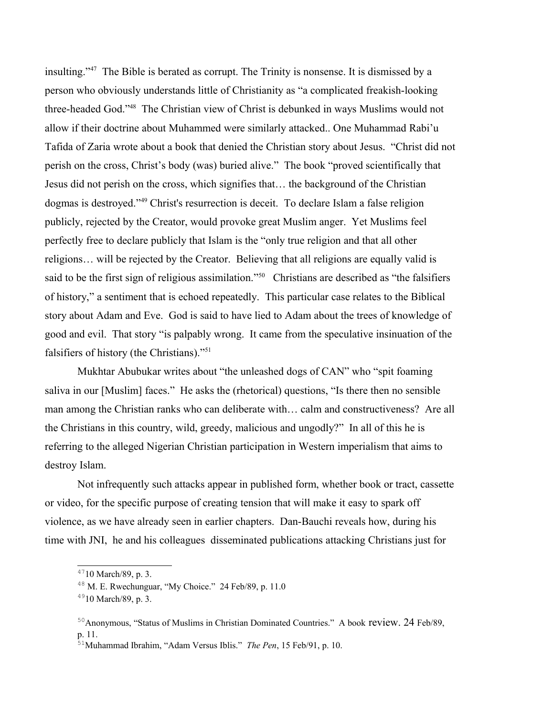insulting."[47](#page-24-0) The Bible is berated as corrupt. The Trinity is nonsense. It is dismissed by a person who obviously understands little of Christianity as "a complicated freakish-looking three-headed God."[48](#page-24-1) The Christian view of Christ is debunked in ways Muslims would not allow if their doctrine about Muhammed were similarly attacked.. One Muhammad Rabi'u Tafida of Zaria wrote about a book that denied the Christian story about Jesus. "Christ did not perish on the cross, Christ's body (was) buried alive." The book "proved scientifically that Jesus did not perish on the cross, which signifies that… the background of the Christian dogmas is destroyed."[49](#page-24-2) Christ's resurrection is deceit. To declare Islam a false religion publicly, rejected by the Creator, would provoke great Muslim anger. Yet Muslims feel perfectly free to declare publicly that Islam is the "only true religion and that all other religions… will be rejected by the Creator. Believing that all religions are equally valid is said to be the first sign of religious assimilation."<sup>[50](#page-24-3)</sup> Christians are described as "the falsifiers" of history," a sentiment that is echoed repeatedly. This particular case relates to the Biblical story about Adam and Eve. God is said to have lied to Adam about the trees of knowledge of good and evil. That story "is palpably wrong. It came from the speculative insinuation of the falsifiers of history (the Christians)."<sup>[51](#page-24-4)</sup>

Mukhtar Abubukar writes about "the unleashed dogs of CAN" who "spit foaming saliva in our [Muslim] faces." He asks the (rhetorical) questions, "Is there then no sensible man among the Christian ranks who can deliberate with… calm and constructiveness? Are all the Christians in this country, wild, greedy, malicious and ungodly?" In all of this he is referring to the alleged Nigerian Christian participation in Western imperialism that aims to destroy Islam.

Not infrequently such attacks appear in published form, whether book or tract, cassette or video, for the specific purpose of creating tension that will make it easy to spark off violence, as we have already seen in earlier chapters. Dan-Bauchi reveals how, during his time with JNI, he and his colleagues disseminated publications attacking Christians just for

<span id="page-24-0"></span> $4710$  March/89, p. 3.

<span id="page-24-1"></span> $48$  M. E. Rwechunguar, "My Choice." 24 Feb/89, p. 11.0

<span id="page-24-2"></span> $4910$  March/89, p. 3.

<span id="page-24-3"></span><sup>50</sup>Anonymous, "Status of Muslims in Christian Dominated Countries." A book review. 24 Feb/89, p. 11.

<span id="page-24-4"></span><sup>51</sup>Muhammad Ibrahim, "Adam Versus Iblis." *The Pen*, 15 Feb/91, p. 10.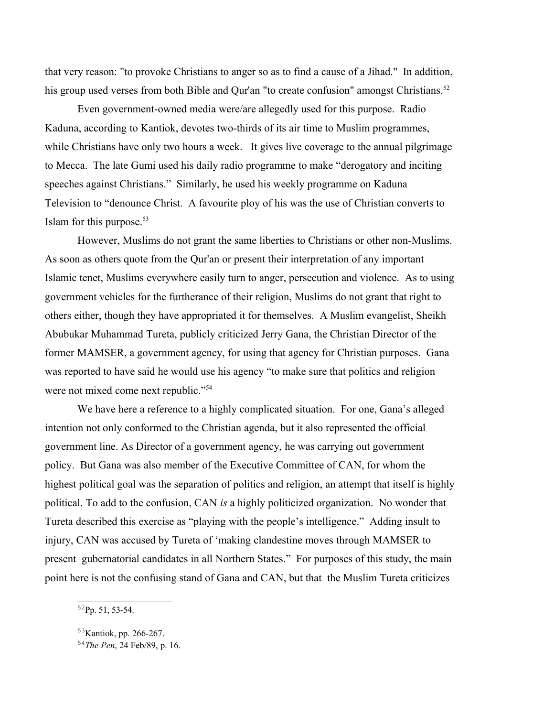that very reason: "to provoke Christians to anger so as to find a cause of a Jihad." In addition, his group used verses from both Bible and Qur'an "to create confusion" amongst Christians.<sup>[52](#page-25-0)</sup>

Even government-owned media were/are allegedly used for this purpose. Radio Kaduna, according to Kantiok, devotes two-thirds of its air time to Muslim programmes, while Christians have only two hours a week. It gives live coverage to the annual pilgrimage to Mecca. The late Gumi used his daily radio programme to make "derogatory and inciting speeches against Christians." Similarly, he used his weekly programme on Kaduna Television to "denounce Christ. A favourite ploy of his was the use of Christian converts to Islam for this purpose. $53$ 

However, Muslims do not grant the same liberties to Christians or other non-Muslims. As soon as others quote from the Qur'an or present their interpretation of any important Islamic tenet, Muslims everywhere easily turn to anger, persecution and violence. As to using government vehicles for the furtherance of their religion, Muslims do not grant that right to others either, though they have appropriated it for themselves. A Muslim evangelist, Sheikh Abubukar Muhammad Tureta, publicly criticized Jerry Gana, the Christian Director of the former MAMSER, a government agency, for using that agency for Christian purposes. Gana was reported to have said he would use his agency "to make sure that politics and religion were not mixed come next republic."<sup>[54](#page-25-2)</sup>

We have here a reference to a highly complicated situation. For one, Gana's alleged intention not only conformed to the Christian agenda, but it also represented the official government line. As Director of a government agency, he was carrying out government policy. But Gana was also member of the Executive Committee of CAN, for whom the highest political goal was the separation of politics and religion, an attempt that itself is highly political. To add to the confusion, CAN *is* a highly politicized organization. No wonder that Tureta described this exercise as "playing with the people's intelligence." Adding insult to injury, CAN was accused by Tureta of 'making clandestine moves through MAMSER to present gubernatorial candidates in all Northern States." For purposes of this study, the main point here is not the confusing stand of Gana and CAN, but that the Muslim Tureta criticizes

<span id="page-25-0"></span><sup>52</sup>Pp. 51, 53-54.

<span id="page-25-1"></span><sup>53</sup>Kantiok, pp. 266-267.

<span id="page-25-2"></span><sup>54</sup>*The Pen*, 24 Feb/89, p. 16.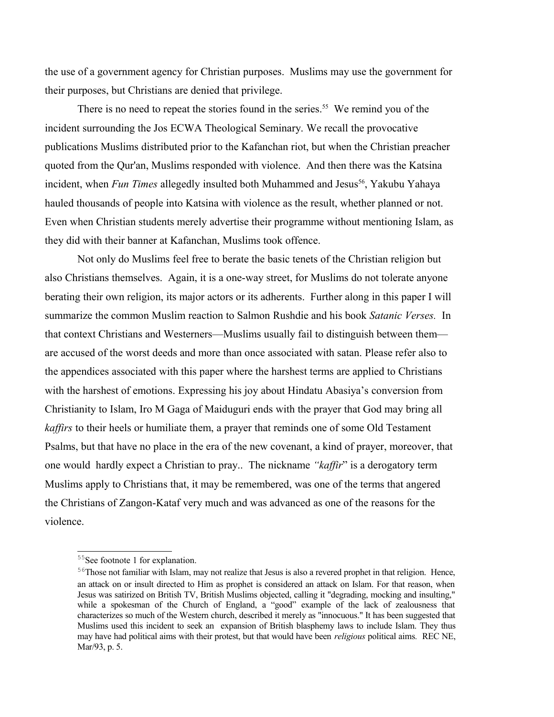the use of a government agency for Christian purposes. Muslims may use the government for their purposes, but Christians are denied that privilege.

There is no need to repeat the stories found in the series.<sup>[55](#page-26-0)</sup> We remind you of the incident surrounding the Jos ECWA Theological Seminary. We recall the provocative publications Muslims distributed prior to the Kafanchan riot, but when the Christian preacher quoted from the Qur'an, Muslims responded with violence. And then there was the Katsina incident, when *Fun Times* allegedly insulted both Muhammed and Jesus<sup>[56](#page-26-1)</sup>, Yakubu Yahaya hauled thousands of people into Katsina with violence as the result, whether planned or not. Even when Christian students merely advertise their programme without mentioning Islam, as they did with their banner at Kafanchan, Muslims took offence.

Not only do Muslims feel free to berate the basic tenets of the Christian religion but also Christians themselves. Again, it is a one-way street, for Muslims do not tolerate anyone berating their own religion, its major actors or its adherents. Further along in this paper I will summarize the common Muslim reaction to Salmon Rushdie and his book *Satanic Verses.* In that context Christians and Westerners—Muslims usually fail to distinguish between them are accused of the worst deeds and more than once associated with satan. Please refer also to the appendices associated with this paper where the harshest terms are applied to Christians with the harshest of emotions. Expressing his joy about Hindatu Abasiya's conversion from Christianity to Islam, Iro M Gaga of Maiduguri ends with the prayer that God may bring all *kaffirs* to their heels or humiliate them, a prayer that reminds one of some Old Testament Psalms, but that have no place in the era of the new covenant, a kind of prayer, moreover, that one would hardly expect a Christian to pray.. The nickname *"kaffir*" is a derogatory term Muslims apply to Christians that, it may be remembered, was one of the terms that angered the Christians of Zangon-Kataf very much and was advanced as one of the reasons for the violence.

<span id="page-26-0"></span><sup>55</sup>See footnote 1 for explanation.

<span id="page-26-1"></span><sup>&</sup>lt;sup>56</sup>Those not familiar with Islam, may not realize that Jesus is also a revered prophet in that religion. Hence, an attack on or insult directed to Him as prophet is considered an attack on Islam. For that reason, when Jesus was satirized on British TV, British Muslims objected, calling it "degrading, mocking and insulting," while a spokesman of the Church of England, a "good" example of the lack of zealousness that characterizes so much of the Western church, described it merely as "innocuous." It has been suggested that Muslims used this incident to seek an expansion of British blasphemy laws to include Islam. They thus may have had political aims with their protest, but that would have been *religious* political aims*.* REC NE, Mar/93, p. 5.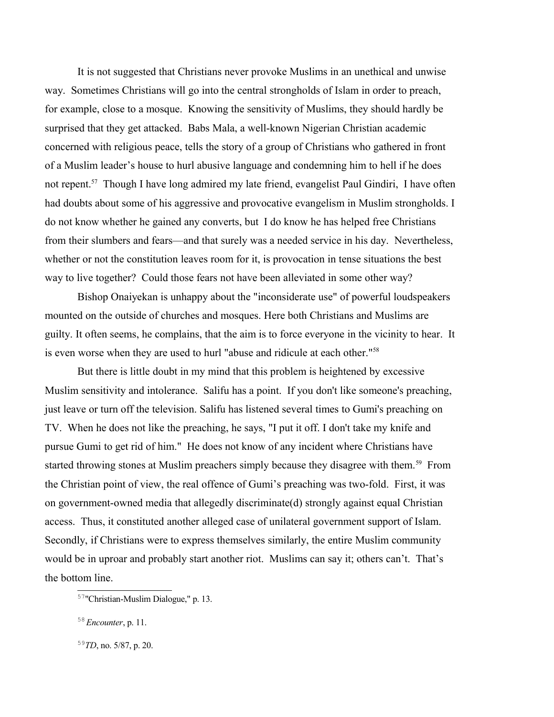It is not suggested that Christians never provoke Muslims in an unethical and unwise way. Sometimes Christians will go into the central strongholds of Islam in order to preach, for example, close to a mosque. Knowing the sensitivity of Muslims, they should hardly be surprised that they get attacked. Babs Mala, a well-known Nigerian Christian academic concerned with religious peace, tells the story of a group of Christians who gathered in front of a Muslim leader's house to hurl abusive language and condemning him to hell if he does not repent.<sup>[57](#page-27-0)</sup> Though I have long admired my late friend, evangelist Paul Gindiri, I have often had doubts about some of his aggressive and provocative evangelism in Muslim strongholds. I do not know whether he gained any converts, but I do know he has helped free Christians from their slumbers and fears—and that surely was a needed service in his day. Nevertheless, whether or not the constitution leaves room for it, is provocation in tense situations the best way to live together? Could those fears not have been alleviated in some other way?

Bishop Onaiyekan is unhappy about the "inconsiderate use" of powerful loudspeakers mounted on the outside of churches and mosques. Here both Christians and Muslims are guilty. It often seems, he complains, that the aim is to force everyone in the vicinity to hear. It is even worse when they are used to hurl "abuse and ridicule at each other."[58](#page-27-1)

But there is little doubt in my mind that this problem is heightened by excessive Muslim sensitivity and intolerance. Salifu has a point. If you don't like someone's preaching, just leave or turn off the television. Salifu has listened several times to Gumi's preaching on TV. When he does not like the preaching, he says, "I put it off. I don't take my knife and pursue Gumi to get rid of him." He does not know of any incident where Christians have started throwing stones at Muslim preachers simply because they disagree with them.<sup>[59](#page-27-2)</sup> From the Christian point of view, the real offence of Gumi's preaching was two-fold. First, it was on government-owned media that allegedly discriminate(d) strongly against equal Christian access. Thus, it constituted another alleged case of unilateral government support of Islam. Secondly, if Christians were to express themselves similarly, the entire Muslim community would be in uproar and probably start another riot. Muslims can say it; others can't. That's the bottom line.

<span id="page-27-0"></span><sup>57</sup>"Christian-Muslim Dialogue," p. 13.

<span id="page-27-1"></span><sup>58</sup>*Encounter*, p. 11.

<span id="page-27-2"></span><sup>59</sup>*TD*, no. 5/87, p. 20.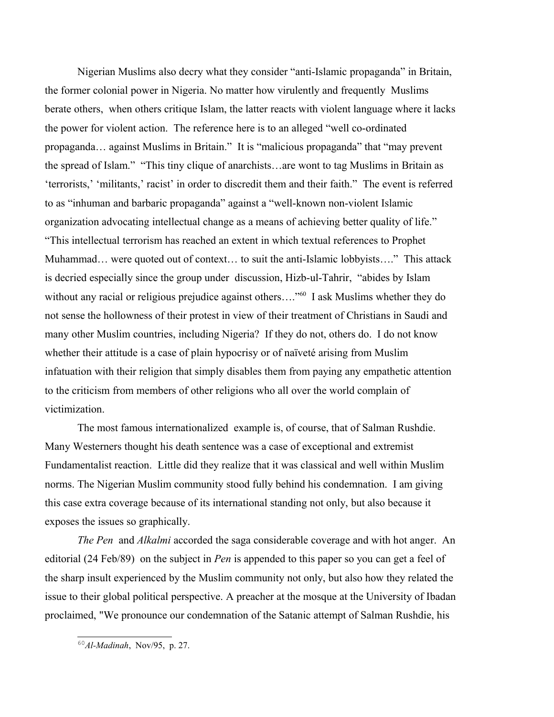Nigerian Muslims also decry what they consider "anti-Islamic propaganda" in Britain, the former colonial power in Nigeria. No matter how virulently and frequently Muslims berate others, when others critique Islam, the latter reacts with violent language where it lacks the power for violent action. The reference here is to an alleged "well co-ordinated propaganda… against Muslims in Britain." It is "malicious propaganda" that "may prevent the spread of Islam." "This tiny clique of anarchists…are wont to tag Muslims in Britain as 'terrorists,' 'militants,' racist' in order to discredit them and their faith." The event is referred to as "inhuman and barbaric propaganda" against a "well-known non-violent Islamic organization advocating intellectual change as a means of achieving better quality of life." "This intellectual terrorism has reached an extent in which textual references to Prophet Muhammad… were quoted out of context… to suit the anti-Islamic lobbyists…." This attack is decried especially since the group under discussion, Hizb-ul-Tahrir, "abides by Islam without any racial or religious prejudice against others...."<sup>[60](#page-28-0)</sup> I ask Muslims whether they do not sense the hollowness of their protest in view of their treatment of Christians in Saudi and many other Muslim countries, including Nigeria? If they do not, others do. I do not know whether their attitude is a case of plain hypocrisy or of naïveté arising from Muslim infatuation with their religion that simply disables them from paying any empathetic attention to the criticism from members of other religions who all over the world complain of victimization.

The most famous internationalized example is, of course, that of Salman Rushdie. Many Westerners thought his death sentence was a case of exceptional and extremist Fundamentalist reaction. Little did they realize that it was classical and well within Muslim norms. The Nigerian Muslim community stood fully behind his condemnation. I am giving this case extra coverage because of its international standing not only, but also because it exposes the issues so graphically.

*The Pen* and *Alkalmi* accorded the saga considerable coverage and with hot anger. An editorial (24 Feb/89) on the subject in *Pen* is appended to this paper so you can get a feel of the sharp insult experienced by the Muslim community not only, but also how they related the issue to their global political perspective. A preacher at the mosque at the University of Ibadan proclaimed, "We pronounce our condemnation of the Satanic attempt of Salman Rushdie, his

<span id="page-28-0"></span><sup>60</sup>*Al-Madinah*, Nov/95, p. 27.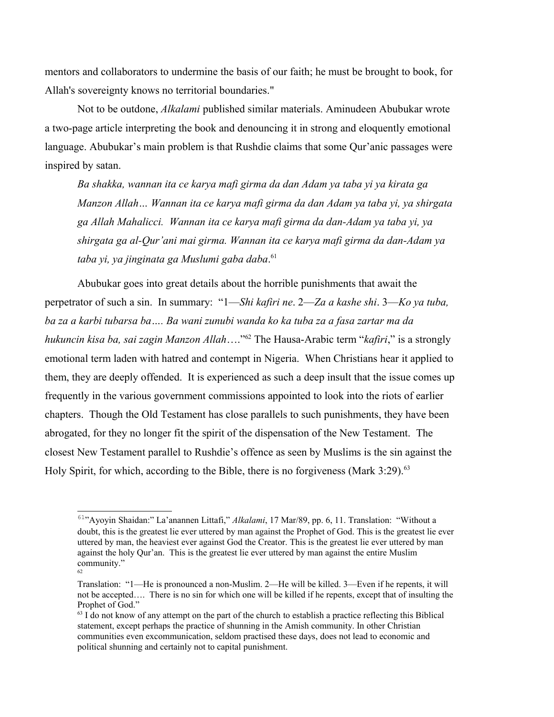mentors and collaborators to undermine the basis of our faith; he must be brought to book, for Allah's sovereignty knows no territorial boundaries."

Not to be outdone, *Alkalami* published similar materials. Aminudeen Abubukar wrote a two-page article interpreting the book and denouncing it in strong and eloquently emotional language. Abubukar's main problem is that Rushdie claims that some Qur'anic passages were inspired by satan.

*Ba shakka, wannan ita ce karya mafi girma da dan Adam ya taba yi ya kirata ga Manzon Allah… Wannan ita ce karya mafi girma da dan Adam ya taba yi, ya shirgata ga Allah Mahalicci. Wannan ita ce karya mafi girma da dan-Adam ya taba yi, ya shirgata ga al-Qur'ani mai girma. Wannan ita ce karya mafi girma da dan-Adam ya taba yi, ya jinginata ga Muslumi gaba daba*. [61](#page-29-0)

Abubukar goes into great details about the horrible punishments that await the perpetrator of such a sin. In summary: "1—*Shi kafiri ne*. 2—*Za a kashe shi*. 3—*Ko ya tuba, ba za a karbi tubarsa ba…. Ba wani zunubi wanda ko ka tuba za a fasa zartar ma da hukuncin kisa ba, sai zagin Manzon Allah*…."[62](#page-29-1) The Hausa-Arabic term "*kafiri*," is a strongly emotional term laden with hatred and contempt in Nigeria. When Christians hear it applied to them, they are deeply offended. It is experienced as such a deep insult that the issue comes up frequently in the various government commissions appointed to look into the riots of earlier chapters. Though the Old Testament has close parallels to such punishments, they have been abrogated, for they no longer fit the spirit of the dispensation of the New Testament. The closest New Testament parallel to Rushdie's offence as seen by Muslims is the sin against the Holy Spirit, for which, according to the Bible, there is no forgiveness (Mark  $3:29$ ).<sup>[63](#page-29-2)</sup>

<span id="page-29-0"></span><sup>61</sup>"Ayoyin Shaidan:" La'anannen Littafi," *Alkalami*, 17 Mar/89, pp. 6, 11. Translation: "Without a doubt, this is the greatest lie ever uttered by man against the Prophet of God. This is the greatest lie ever uttered by man, the heaviest ever against God the Creator. This is the greatest lie ever uttered by man against the holy Qur'an. This is the greatest lie ever uttered by man against the entire Muslim community." 62

<span id="page-29-1"></span>Translation: "1—He is pronounced a non-Muslim. 2—He will be killed. 3—Even if he repents, it will not be accepted…. There is no sin for which one will be killed if he repents, except that of insulting the Prophet of God."

<span id="page-29-2"></span> $63$  I do not know of any attempt on the part of the church to establish a practice reflecting this Biblical statement, except perhaps the practice of shunning in the Amish community. In other Christian communities even excommunication, seldom practised these days, does not lead to economic and political shunning and certainly not to capital punishment.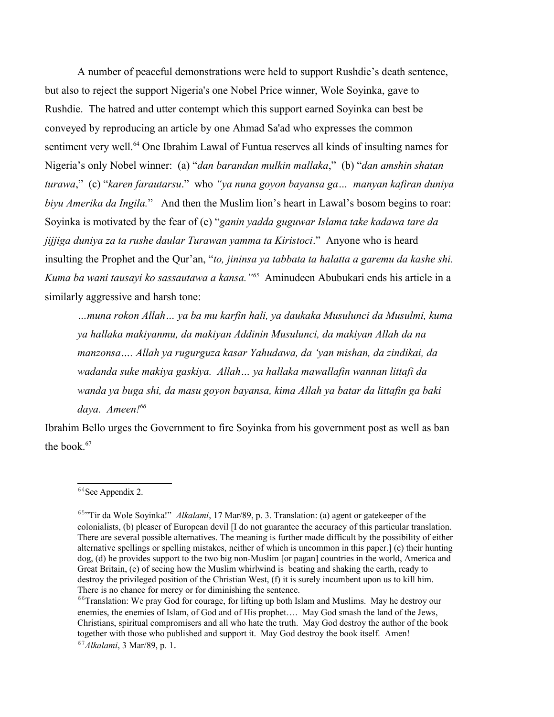A number of peaceful demonstrations were held to support Rushdie's death sentence, but also to reject the support Nigeria's one Nobel Price winner, Wole Soyinka, gave to Rushdie. The hatred and utter contempt which this support earned Soyinka can best be conveyed by reproducing an article by one Ahmad Sa'ad who expresses the common sentiment very well.<sup>[64](#page-30-0)</sup> One Ibrahim Lawal of Funtua reserves all kinds of insulting names for Nigeria's only Nobel winner: (a) "*dan barandan mulkin mallaka*," (b) "*dan amshin shatan turawa*," (c) "*karen farautarsu*." who *"ya nuna goyon bayansa ga… manyan kafiran duniya biyu Amerika da Ingila.*" And then the Muslim lion's heart in Lawal's bosom begins to roar: Soyinka is motivated by the fear of (e) "*ganin yadda guguwar Islama take kadawa tare da jijjiga duniya za ta rushe daular Turawan yamma ta Kiristoci*." Anyone who is heard insulting the Prophet and the Qur'an, "*to, jininsa ya tabbata ta halatta a garemu da kashe shi. Kuma ba wani tausayi ko sassautawa a kansa."[65](#page-30-1)* Aminudeen Abubukari ends his article in a similarly aggressive and harsh tone:

*…muna rokon Allah… ya ba mu karfin hali, ya daukaka Musulunci da Musulmi, kuma ya hallaka makiyanmu, da makiyan Addinin Musulunci, da makiyan Allah da na manzonsa…. Allah ya rugurguza kasar Yahudawa, da 'yan mishan, da zindikai, da wadanda suke makiya gaskiya. Allah… ya hallaka mawallafin wannan littafi da wanda ya buga shi, da masu goyon bayansa, kima Allah ya batar da littafin ga baki daya. Ameen![66](#page-30-2)*

Ibrahim Bello urges the Government to fire Soyinka from his government post as well as ban the book.<sup>[67](#page-30-3)</sup>

<span id="page-30-0"></span><sup>64</sup>See Appendix 2.

<span id="page-30-1"></span><sup>65</sup>"Tir da Wole Soyinka!" *Alkalami*, 17 Mar/89, p. 3. Translation: (a) agent or gatekeeper of the colonialists, (b) pleaser of European devil [I do not guarantee the accuracy of this particular translation. There are several possible alternatives. The meaning is further made difficult by the possibility of either alternative spellings or spelling mistakes, neither of which is uncommon in this paper.] (c) their hunting dog, (d) he provides support to the two big non-Muslim [or pagan] countries in the world, America and Great Britain, (e) of seeing how the Muslim whirlwind is beating and shaking the earth, ready to destroy the privileged position of the Christian West, (f) it is surely incumbent upon us to kill him. There is no chance for mercy or for diminishing the sentence.

<span id="page-30-2"></span> $66$ Translation: We pray God for courage, for lifting up both Islam and Muslims. May he destroy our enemies, the enemies of Islam, of God and of His prophet…. May God smash the land of the Jews, Christians, spiritual compromisers and all who hate the truth. May God destroy the author of the book together with those who published and support it. May God destroy the book itself. Amen!

<span id="page-30-3"></span><sup>67</sup>*Alkalami*, 3 Mar/89, p. 1.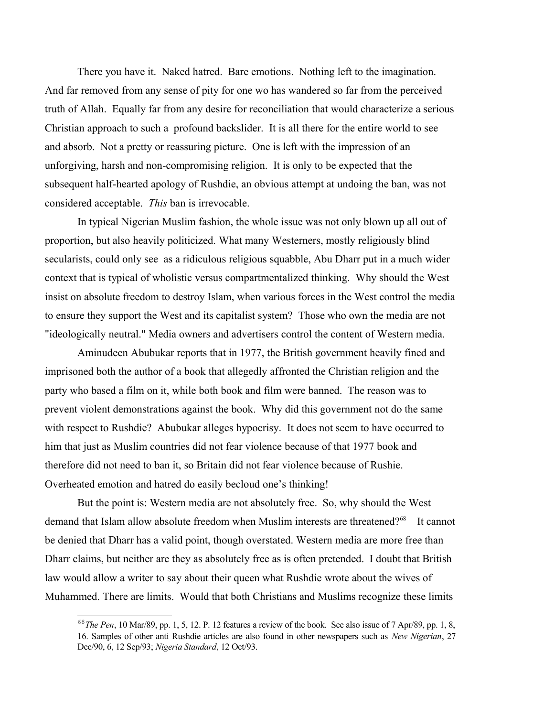There you have it. Naked hatred. Bare emotions. Nothing left to the imagination. And far removed from any sense of pity for one wo has wandered so far from the perceived truth of Allah. Equally far from any desire for reconciliation that would characterize a serious Christian approach to such a profound backslider. It is all there for the entire world to see and absorb. Not a pretty or reassuring picture. One is left with the impression of an unforgiving, harsh and non-compromising religion. It is only to be expected that the subsequent half-hearted apology of Rushdie, an obvious attempt at undoing the ban, was not considered acceptable. *This* ban is irrevocable.

In typical Nigerian Muslim fashion, the whole issue was not only blown up all out of proportion, but also heavily politicized. What many Westerners, mostly religiously blind secularists, could only see as a ridiculous religious squabble, Abu Dharr put in a much wider context that is typical of wholistic versus compartmentalized thinking. Why should the West insist on absolute freedom to destroy Islam, when various forces in the West control the media to ensure they support the West and its capitalist system? Those who own the media are not "ideologically neutral." Media owners and advertisers control the content of Western media.

Aminudeen Abubukar reports that in 1977, the British government heavily fined and imprisoned both the author of a book that allegedly affronted the Christian religion and the party who based a film on it, while both book and film were banned. The reason was to prevent violent demonstrations against the book. Why did this government not do the same with respect to Rushdie? Abubukar alleges hypocrisy. It does not seem to have occurred to him that just as Muslim countries did not fear violence because of that 1977 book and therefore did not need to ban it, so Britain did not fear violence because of Rushie. Overheated emotion and hatred do easily becloud one's thinking!

But the point is: Western media are not absolutely free. So, why should the West demand that Islam allow absolute freedom when Muslim interests are threatened?<sup>[68](#page-31-0)</sup> It cannot be denied that Dharr has a valid point, though overstated. Western media are more free than Dharr claims, but neither are they as absolutely free as is often pretended. I doubt that British law would allow a writer to say about their queen what Rushdie wrote about the wives of Muhammed. There are limits. Would that both Christians and Muslims recognize these limits

<span id="page-31-0"></span><sup>&</sup>lt;sup>68</sup>*The Pen*, 10 Mar/89, pp. 1, 5, 12, P. 12 features a review of the book. See also issue of 7 Apr/89, pp. 1, 8, 16. Samples of other anti Rushdie articles are also found in other newspapers such as *New Nigerian*, 27 Dec/90, 6, 12 Sep/93; *Nigeria Standard*, 12 Oct/93.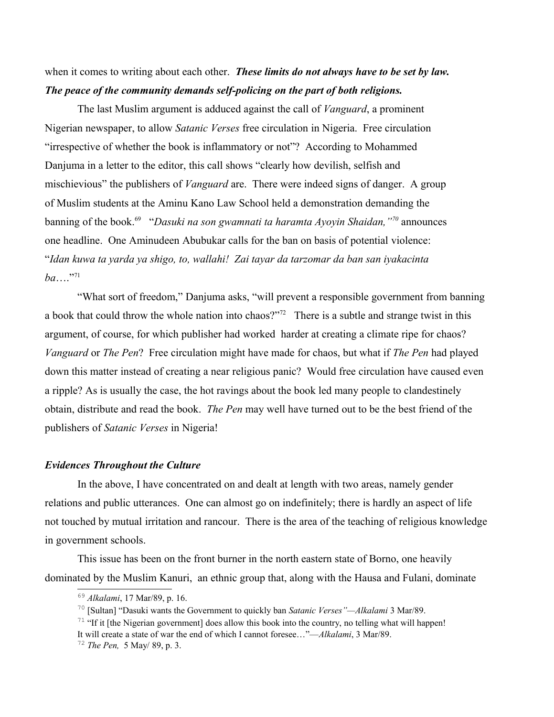when it comes to writing about each other. *These limits do not always have to be set by law. The peace of the community demands self-policing on the part of both religions.* 

The last Muslim argument is adduced against the call of *Vanguard*, a prominent Nigerian newspaper, to allow *Satanic Verses* free circulation in Nigeria. Free circulation "irrespective of whether the book is inflammatory or not"? According to Mohammed Danjuma in a letter to the editor, this call shows "clearly how devilish, selfish and mischievious" the publishers of *Vanguard* are. There were indeed signs of danger. A group of Muslim students at the Aminu Kano Law School held a demonstration demanding the banning of the book.[69](#page-32-0) "*Dasuki na son gwamnati ta haramta Ayoyin Shaidan,"[70](#page-32-1)* announces one headline.One Aminudeen Abubukar calls for the ban on basis of potential violence: "*Idan kuwa ta yarda ya shigo, to, wallahi! Zai tayar da tarzomar da ban san iyakacinta*   $ba...$ <sup>"[71](#page-32-2)</sup>

"What sort of freedom," Danjuma asks, "will prevent a responsible government from banning a book that could throw the whole nation into chaos?"<sup>[72](#page-32-3)</sup> There is a subtle and strange twist in this argument, of course, for which publisher had worked harder at creating a climate ripe for chaos? *Vanguard* or *The Pen*? Free circulation might have made for chaos, but what if *The Pen* had played down this matter instead of creating a near religious panic? Would free circulation have caused even a ripple? As is usually the case, the hot ravings about the book led many people to clandestinely obtain, distribute and read the book. *The Pen* may well have turned out to be the best friend of the publishers of *Satanic Verses* in Nigeria!

#### *Evidences Throughout the Culture*

In the above, I have concentrated on and dealt at length with two areas, namely gender relations and public utterances. One can almost go on indefinitely; there is hardly an aspect of life not touched by mutual irritation and rancour. There is the area of the teaching of religious knowledge in government schools.

This issue has been on the front burner in the north eastern state of Borno, one heavily dominated by the Muslim Kanuri, an ethnic group that, along with the Hausa and Fulani, dominate

<span id="page-32-0"></span><sup>69</sup> *Alkalami*, 17 Mar/89, p. 16.

<span id="page-32-1"></span><sup>70</sup> [Sultan] "Dasuki wants the Government to quickly ban *Satanic Verses"—Alkalami* 3 Mar/89.

<span id="page-32-2"></span> $71$  "If it [the Nigerian government] does allow this book into the country, no telling what will happen!

It will create a state of war the end of which I cannot foresee…"—*Alkalami*, 3 Mar/89.

<span id="page-32-3"></span><sup>72</sup> *The Pen,* 5 May/ 89, p. 3.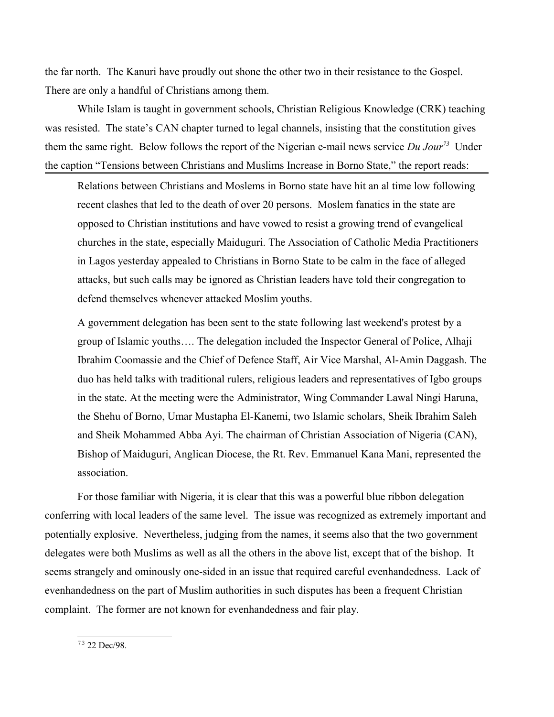the far north. The Kanuri have proudly out shone the other two in their resistance to the Gospel. There are only a handful of Christians among them.

While Islam is taught in government schools, Christian Religious Knowledge (CRK) teaching was resisted. The state's CAN chapter turned to legal channels, insisting that the constitution gives them the same right. Below follows the report of the Nigerian e-mail news service  $Du$  Jour<sup>[73](#page-33-0)</sup> Under the caption "Tensions between Christians and Muslims Increase in Borno State," the report reads:

Relations between Christians and Moslems in Borno state have hit an al time low following recent clashes that led to the death of over 20 persons. Moslem fanatics in the state are opposed to Christian institutions and have vowed to resist a growing trend of evangelical churches in the state, especially Maiduguri. The Association of Catholic Media Practitioners in Lagos yesterday appealed to Christians in Borno State to be calm in the face of alleged attacks, but such calls may be ignored as Christian leaders have told their congregation to defend themselves whenever attacked Moslim youths.

A government delegation has been sent to the state following last weekend's protest by a group of Islamic youths…. The delegation included the Inspector General of Police, Alhaji Ibrahim Coomassie and the Chief of Defence Staff, Air Vice Marshal, Al-Amin Daggash. The duo has held talks with traditional rulers, religious leaders and representatives of Igbo groups in the state. At the meeting were the Administrator, Wing Commander Lawal Ningi Haruna, the Shehu of Borno, Umar Mustapha El-Kanemi, two Islamic scholars, Sheik Ibrahim Saleh and Sheik Mohammed Abba Ayi. The chairman of Christian Association of Nigeria (CAN), Bishop of Maiduguri, Anglican Diocese, the Rt. Rev. Emmanuel Kana Mani, represented the association.

<span id="page-33-0"></span>For those familiar with Nigeria, it is clear that this was a powerful blue ribbon delegation conferring with local leaders of the same level. The issue was recognized as extremely important and potentially explosive. Nevertheless, judging from the names, it seems also that the two government delegates were both Muslims as well as all the others in the above list, except that of the bishop. It seems strangely and ominously one-sided in an issue that required careful evenhandedness. Lack of evenhandedness on the part of Muslim authorities in such disputes has been a frequent Christian complaint. The former are not known for evenhandedness and fair play.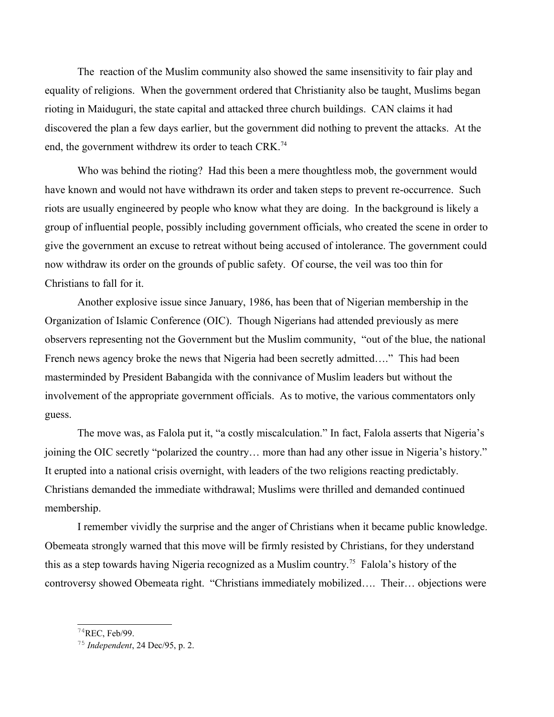The reaction of the Muslim community also showed the same insensitivity to fair play and equality of religions. When the government ordered that Christianity also be taught, Muslims began rioting in Maiduguri, the state capital and attacked three church buildings. CAN claims it had discovered the plan a few days earlier, but the government did nothing to prevent the attacks. At the end, the government withdrew its order to teach CRK.<sup>[74](#page-34-0)</sup>

Who was behind the rioting? Had this been a mere thoughtless mob, the government would have known and would not have withdrawn its order and taken steps to prevent re-occurrence. Such riots are usually engineered by people who know what they are doing. In the background is likely a group of influential people, possibly including government officials, who created the scene in order to give the government an excuse to retreat without being accused of intolerance. The government could now withdraw its order on the grounds of public safety. Of course, the veil was too thin for Christians to fall for it.

Another explosive issue since January, 1986, has been that of Nigerian membership in the Organization of Islamic Conference (OIC). Though Nigerians had attended previously as mere observers representing not the Government but the Muslim community, "out of the blue, the national French news agency broke the news that Nigeria had been secretly admitted…." This had been masterminded by President Babangida with the connivance of Muslim leaders but without the involvement of the appropriate government officials. As to motive, the various commentators only guess.

The move was, as Falola put it, "a costly miscalculation." In fact, Falola asserts that Nigeria's joining the OIC secretly "polarized the country… more than had any other issue in Nigeria's history." It erupted into a national crisis overnight, with leaders of the two religions reacting predictably. Christians demanded the immediate withdrawal; Muslims were thrilled and demanded continued membership.

I remember vividly the surprise and the anger of Christians when it became public knowledge. Obemeata strongly warned that this move will be firmly resisted by Christians, for they understand this as a step towards having Nigeria recognized as a Muslim country.[75](#page-34-1) Falola's history of the controversy showed Obemeata right. "Christians immediately mobilized…. Their… objections were

<span id="page-34-0"></span> $74$ REC, Feb/99.

<span id="page-34-1"></span><sup>75</sup> *Independent*, 24 Dec/95, p. 2.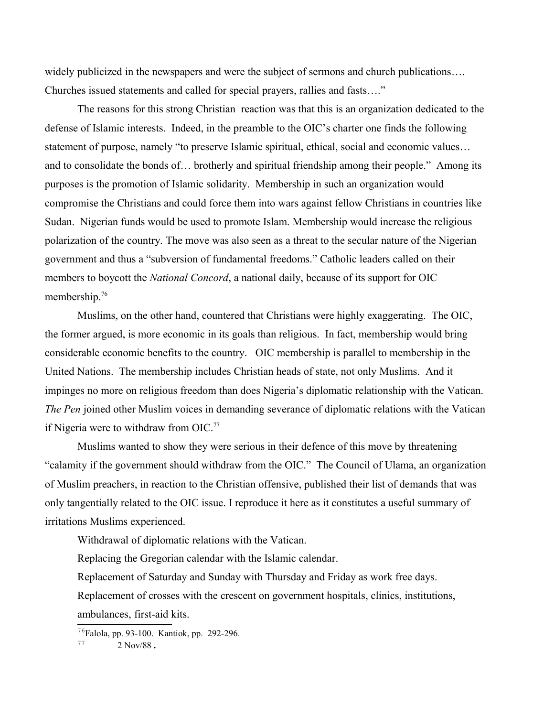widely publicized in the newspapers and were the subject of sermons and church publications.... Churches issued statements and called for special prayers, rallies and fasts…."

The reasons for this strong Christian reaction was that this is an organization dedicated to the defense of Islamic interests. Indeed, in the preamble to the OIC's charter one finds the following statement of purpose, namely "to preserve Islamic spiritual, ethical, social and economic values… and to consolidate the bonds of… brotherly and spiritual friendship among their people." Among its purposes is the promotion of Islamic solidarity. Membership in such an organization would compromise the Christians and could force them into wars against fellow Christians in countries like Sudan. Nigerian funds would be used to promote Islam. Membership would increase the religious polarization of the country. The move was also seen as a threat to the secular nature of the Nigerian government and thus a "subversion of fundamental freedoms." Catholic leaders called on their members to boycott the *National Concord*, a national daily, because of its support for OIC membership.<sup>[76](#page-35-0)</sup>

Muslims, on the other hand, countered that Christians were highly exaggerating. The OIC, the former argued, is more economic in its goals than religious. In fact, membership would bring considerable economic benefits to the country. OIC membership is parallel to membership in the United Nations. The membership includes Christian heads of state, not only Muslims. And it impinges no more on religious freedom than does Nigeria's diplomatic relationship with the Vatican. *The Pen* joined other Muslim voices in demanding severance of diplomatic relations with the Vatican if Nigeria were to withdraw from OIC.[77](#page-35-1)

Muslims wanted to show they were serious in their defence of this move by threatening "calamity if the government should withdraw from the OIC." The Council of Ulama, an organization of Muslim preachers, in reaction to the Christian offensive, published their list of demands that was only tangentially related to the OIC issue. I reproduce it here as it constitutes a useful summary of irritations Muslims experienced.

Withdrawal of diplomatic relations with the Vatican.

Replacing the Gregorian calendar with the Islamic calendar.

Replacement of Saturday and Sunday with Thursday and Friday as work free days. Replacement of crosses with the crescent on government hospitals, clinics, institutions, ambulances, first-aid kits.

<span id="page-35-0"></span><sup>76</sup>Falola, pp. 93-100. Kantiok, pp. 292-296.

<span id="page-35-1"></span> $77 \t 2 Nov/88.$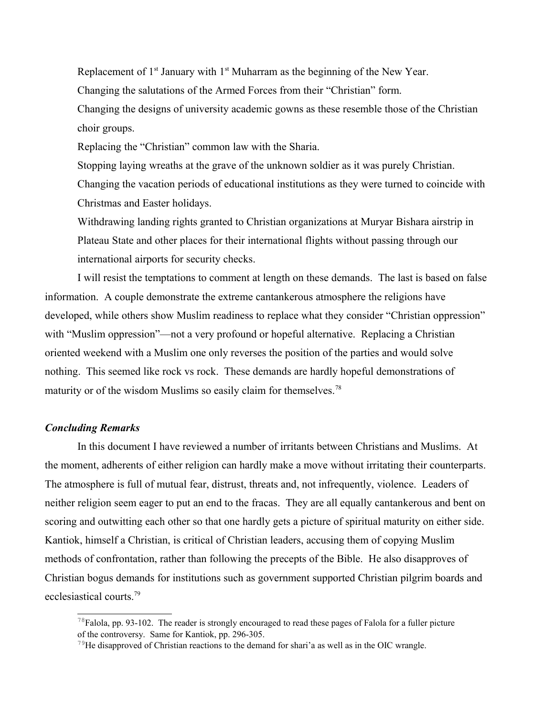Replacement of  $1<sup>st</sup>$  January with  $1<sup>st</sup>$  Muharram as the beginning of the New Year.

Changing the salutations of the Armed Forces from their "Christian" form.

Changing the designs of university academic gowns as these resemble those of the Christian choir groups.

Replacing the "Christian" common law with the Sharia.

Stopping laying wreaths at the grave of the unknown soldier as it was purely Christian.

Changing the vacation periods of educational institutions as they were turned to coincide with Christmas and Easter holidays.

Withdrawing landing rights granted to Christian organizations at Muryar Bishara airstrip in Plateau State and other places for their international flights without passing through our international airports for security checks.

I will resist the temptations to comment at length on these demands. The last is based on false information. A couple demonstrate the extreme cantankerous atmosphere the religions have developed, while others show Muslim readiness to replace what they consider "Christian oppression" with "Muslim oppression"—not a very profound or hopeful alternative. Replacing a Christian oriented weekend with a Muslim one only reverses the position of the parties and would solve nothing. This seemed like rock vs rock. These demands are hardly hopeful demonstrations of maturity or of the wisdom Muslims so easily claim for themselves.<sup>[78](#page-36-0)</sup>

#### *Concluding Remarks*

In this document I have reviewed a number of irritants between Christians and Muslims. At the moment, adherents of either religion can hardly make a move without irritating their counterparts. The atmosphere is full of mutual fear, distrust, threats and, not infrequently, violence. Leaders of neither religion seem eager to put an end to the fracas. They are all equally cantankerous and bent on scoring and outwitting each other so that one hardly gets a picture of spiritual maturity on either side. Kantiok, himself a Christian, is critical of Christian leaders, accusing them of copying Muslim methods of confrontation, rather than following the precepts of the Bible. He also disapproves of Christian bogus demands for institutions such as government supported Christian pilgrim boards and ecclesiastical courts.[79](#page-36-1)

<span id="page-36-0"></span><sup>&</sup>lt;sup>78</sup>Falola, pp. 93-102. The reader is strongly encouraged to read these pages of Falola for a fuller picture of the controversy. Same for Kantiok, pp. 296-305.

<span id="page-36-1"></span> $^{79}$ He disapproved of Christian reactions to the demand for shari'a as well as in the OIC wrangle.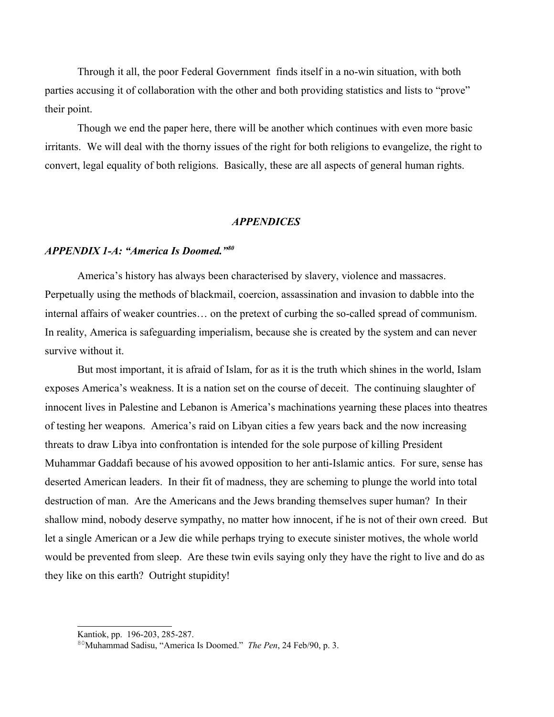Through it all, the poor Federal Government finds itself in a no-win situation, with both parties accusing it of collaboration with the other and both providing statistics and lists to "prove" their point.

Though we end the paper here, there will be another which continues with even more basic irritants. We will deal with the thorny issues of the right for both religions to evangelize, the right to convert, legal equality of both religions. Basically, these are all aspects of general human rights.

#### *APPENDICES*

## *APPENDIX 1-A: "America Is Doomed."[80](#page-37-0)*

America's history has always been characterised by slavery, violence and massacres. Perpetually using the methods of blackmail, coercion, assassination and invasion to dabble into the internal affairs of weaker countries… on the pretext of curbing the so-called spread of communism. In reality, America is safeguarding imperialism, because she is created by the system and can never survive without it.

But most important, it is afraid of Islam, for as it is the truth which shines in the world, Islam exposes America's weakness. It is a nation set on the course of deceit. The continuing slaughter of innocent lives in Palestine and Lebanon is America's machinations yearning these places into theatres of testing her weapons. America's raid on Libyan cities a few years back and the now increasing threats to draw Libya into confrontation is intended for the sole purpose of killing President Muhammar Gaddafi because of his avowed opposition to her anti-Islamic antics. For sure, sense has deserted American leaders. In their fit of madness, they are scheming to plunge the world into total destruction of man. Are the Americans and the Jews branding themselves super human? In their shallow mind, nobody deserve sympathy, no matter how innocent, if he is not of their own creed. But let a single American or a Jew die while perhaps trying to execute sinister motives, the whole world would be prevented from sleep. Are these twin evils saying only they have the right to live and do as they like on this earth? Outright stupidity!

Kantiok, pp. 196-203, 285-287.

<span id="page-37-0"></span><sup>80</sup>Muhammad Sadisu, "America Is Doomed." *The Pen*, 24 Feb/90, p. 3.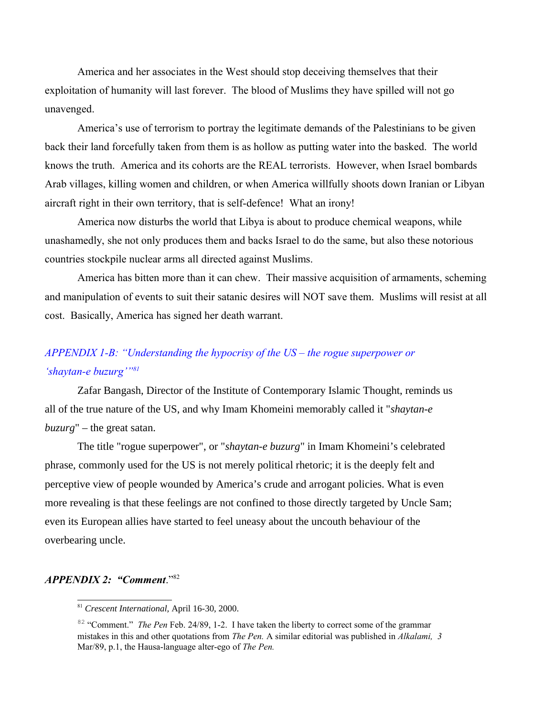America and her associates in the West should stop deceiving themselves that their exploitation of humanity will last forever. The blood of Muslims they have spilled will not go unavenged.

America's use of terrorism to portray the legitimate demands of the Palestinians to be given back their land forcefully taken from them is as hollow as putting water into the basked. The world knows the truth. America and its cohorts are the REAL terrorists. However, when Israel bombards Arab villages, killing women and children, or when America willfully shoots down Iranian or Libyan aircraft right in their own territory, that is self-defence! What an irony!

America now disturbs the world that Libya is about to produce chemical weapons, while unashamedly, she not only produces them and backs Israel to do the same, but also these notorious countries stockpile nuclear arms all directed against Muslims.

America has bitten more than it can chew. Their massive acquisition of armaments, scheming and manipulation of events to suit their satanic desires will NOT save them. Muslims will resist at all cost. Basically, America has signed her death warrant.

# *APPENDIX 1-B: "Understanding the hypocrisy of the US – the rogue superpower or 'shaytan-e buzurg'"[81](#page-38-0)*

Zafar Bangash, Director of the Institute of Contemporary Islamic Thought, reminds us all of the true nature of the US, and why Imam Khomeini memorably called it "*shaytan-e buzurg*" – the great satan.

The title "rogue superpower", or "*shaytan-e buzurg*" in Imam Khomeini's celebrated phrase, commonly used for the US is not merely political rhetoric; it is the deeply felt and perceptive view of people wounded by America's crude and arrogant policies. What is even more revealing is that these feelings are not confined to those directly targeted by Uncle Sam; even its European allies have started to feel uneasy about the uncouth behaviour of the overbearing uncle.

#### *APPENDIX 2: "Comment*."[82](#page-38-1)

<span id="page-38-0"></span><sup>81</sup> *Crescent International,* April 16-30, 2000.

<span id="page-38-1"></span><sup>&</sup>lt;sup>82</sup> "Comment." *The Pen* Feb. 24/89, 1-2. I have taken the liberty to correct some of the grammar mistakes in this and other quotations from *The Pen.* A similar editorial was published in *Alkalami, 3*  Mar/89, p.1, the Hausa-language alter-ego of *The Pen.*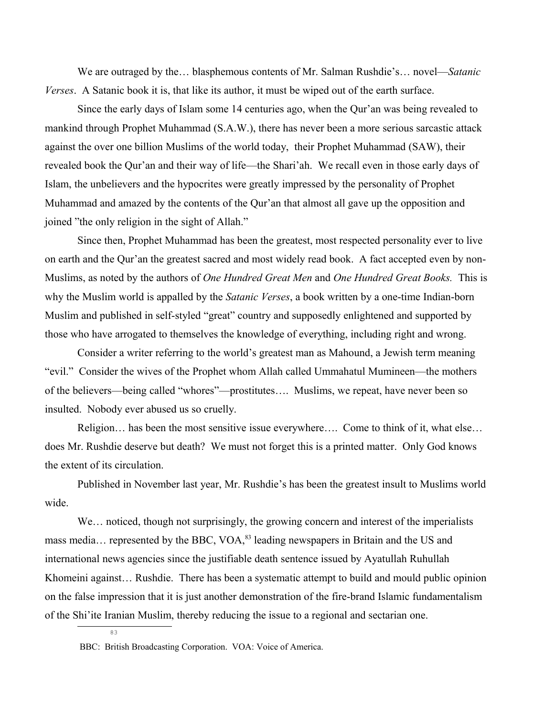We are outraged by the… blasphemous contents of Mr. Salman Rushdie's… novel—*Satanic Verses*. A Satanic book it is, that like its author, it must be wiped out of the earth surface.

Since the early days of Islam some 14 centuries ago, when the Qur'an was being revealed to mankind through Prophet Muhammad (S.A.W.), there has never been a more serious sarcastic attack against the over one billion Muslims of the world today, their Prophet Muhammad (SAW), their revealed book the Qur'an and their way of life—the Shari'ah. We recall even in those early days of Islam, the unbelievers and the hypocrites were greatly impressed by the personality of Prophet Muhammad and amazed by the contents of the Qur'an that almost all gave up the opposition and joined "the only religion in the sight of Allah."

Since then, Prophet Muhammad has been the greatest, most respected personality ever to live on earth and the Qur'an the greatest sacred and most widely read book. A fact accepted even by non-Muslims, as noted by the authors of *One Hundred Great Men* and *One Hundred Great Books.* This is why the Muslim world is appalled by the *Satanic Verses*, a book written by a one-time Indian-born Muslim and published in self-styled "great" country and supposedly enlightened and supported by those who have arrogated to themselves the knowledge of everything, including right and wrong.

Consider a writer referring to the world's greatest man as Mahound, a Jewish term meaning "evil." Consider the wives of the Prophet whom Allah called Ummahatul Mumineen—the mothers of the believers—being called "whores"—prostitutes…. Muslims, we repeat, have never been so insulted. Nobody ever abused us so cruelly.

Religion… has been the most sensitive issue everywhere…. Come to think of it, what else… does Mr. Rushdie deserve but death? We must not forget this is a printed matter. Only God knows the extent of its circulation.

Published in November last year, Mr. Rushdie's has been the greatest insult to Muslims world wide.

We… noticed, though not surprisingly, the growing concern and interest of the imperialists mass media... represented by the BBC, VOA,<sup>[83](#page-39-0)</sup> leading newspapers in Britain and the US and international news agencies since the justifiable death sentence issued by Ayatullah Ruhullah Khomeini against… Rushdie. There has been a systematic attempt to build and mould public opinion on the false impression that it is just another demonstration of the fire-brand Islamic fundamentalism of the Shi'ite Iranian Muslim, thereby reducing the issue to a regional and sectarian one.

<span id="page-39-0"></span>83

BBC: British Broadcasting Corporation. VOA: Voice of America.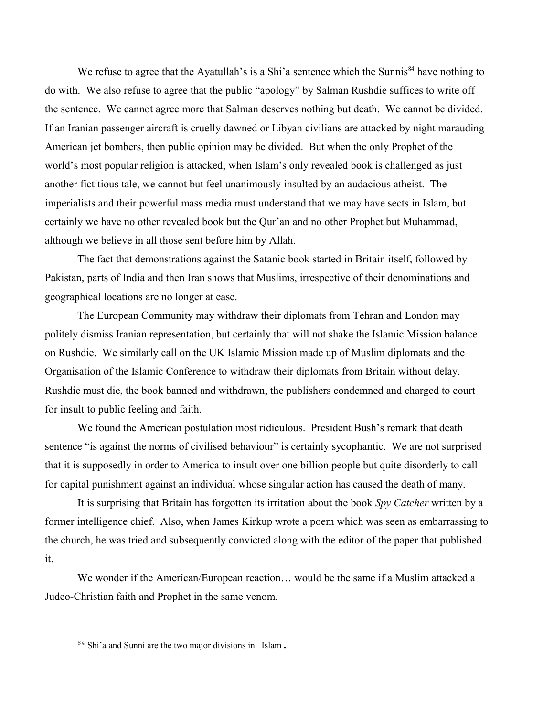We refuse to agree that the Ayatullah's is a Shi'a sentence which the Sunnis<sup>[84](#page-40-0)</sup> have nothing to do with. We also refuse to agree that the public "apology" by Salman Rushdie suffices to write off the sentence. We cannot agree more that Salman deserves nothing but death. We cannot be divided. If an Iranian passenger aircraft is cruelly dawned or Libyan civilians are attacked by night marauding American jet bombers, then public opinion may be divided. But when the only Prophet of the world's most popular religion is attacked, when Islam's only revealed book is challenged as just another fictitious tale, we cannot but feel unanimously insulted by an audacious atheist. The imperialists and their powerful mass media must understand that we may have sects in Islam, but certainly we have no other revealed book but the Qur'an and no other Prophet but Muhammad, although we believe in all those sent before him by Allah.

The fact that demonstrations against the Satanic book started in Britain itself, followed by Pakistan, parts of India and then Iran shows that Muslims, irrespective of their denominations and geographical locations are no longer at ease.

The European Community may withdraw their diplomats from Tehran and London may politely dismiss Iranian representation, but certainly that will not shake the Islamic Mission balance on Rushdie. We similarly call on the UK Islamic Mission made up of Muslim diplomats and the Organisation of the Islamic Conference to withdraw their diplomats from Britain without delay. Rushdie must die, the book banned and withdrawn, the publishers condemned and charged to court for insult to public feeling and faith.

We found the American postulation most ridiculous. President Bush's remark that death sentence "is against the norms of civilised behaviour" is certainly sycophantic. We are not surprised that it is supposedly in order to America to insult over one billion people but quite disorderly to call for capital punishment against an individual whose singular action has caused the death of many.

It is surprising that Britain has forgotten its irritation about the book *Spy Catcher* written by a former intelligence chief. Also, when James Kirkup wrote a poem which was seen as embarrassing to the church, he was tried and subsequently convicted along with the editor of the paper that published it.

We wonder if the American/European reaction… would be the same if a Muslim attacked a Judeo-Christian faith and Prophet in the same venom.

<span id="page-40-0"></span><sup>&</sup>lt;sup>84</sup> Shi'a and Sunni are the two major divisions in Islam.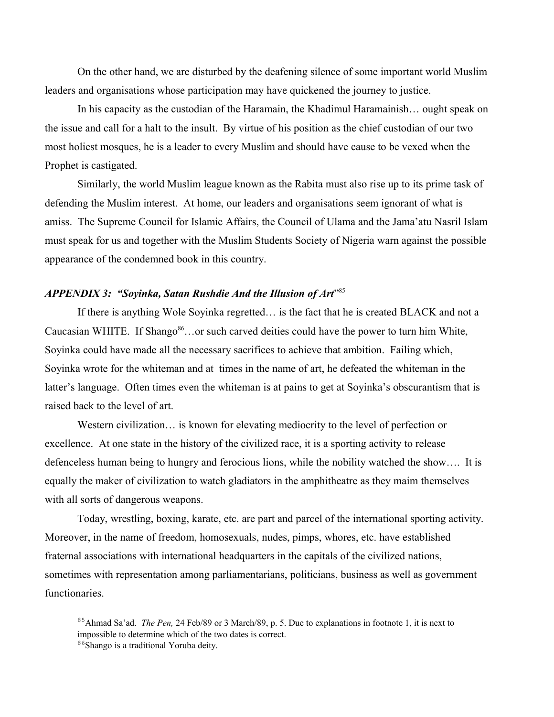On the other hand, we are disturbed by the deafening silence of some important world Muslim leaders and organisations whose participation may have quickened the journey to justice.

In his capacity as the custodian of the Haramain, the Khadimul Haramainish… ought speak on the issue and call for a halt to the insult. By virtue of his position as the chief custodian of our two most holiest mosques, he is a leader to every Muslim and should have cause to be vexed when the Prophet is castigated.

Similarly, the world Muslim league known as the Rabita must also rise up to its prime task of defending the Muslim interest. At home, our leaders and organisations seem ignorant of what is amiss. The Supreme Council for Islamic Affairs, the Council of Ulama and the Jama'atu Nasril Islam must speak for us and together with the Muslim Students Society of Nigeria warn against the possible appearance of the condemned book in this country.

### *APPENDIX 3: "Soyinka, Satan Rushdie And the Illusion of Art*" [85](#page-41-0)

If there is anything Wole Soyinka regretted… is the fact that he is created BLACK and not a Caucasian WHITE. If Shango<sup>[86](#page-41-1)</sup>...or such carved deities could have the power to turn him White, Soyinka could have made all the necessary sacrifices to achieve that ambition. Failing which, Soyinka wrote for the whiteman and at times in the name of art, he defeated the whiteman in the latter's language. Often times even the whiteman is at pains to get at Soyinka's obscurantism that is raised back to the level of art.

Western civilization… is known for elevating mediocrity to the level of perfection or excellence. At one state in the history of the civilized race, it is a sporting activity to release defenceless human being to hungry and ferocious lions, while the nobility watched the show…. It is equally the maker of civilization to watch gladiators in the amphitheatre as they maim themselves with all sorts of dangerous weapons.

Today, wrestling, boxing, karate, etc. are part and parcel of the international sporting activity. Moreover, in the name of freedom, homosexuals, nudes, pimps, whores, etc. have established fraternal associations with international headquarters in the capitals of the civilized nations, sometimes with representation among parliamentarians, politicians, business as well as government functionaries.

<span id="page-41-0"></span><sup>85</sup>Ahmad Sa'ad. *The Pen,* 24 Feb/89 or 3 March/89, p. 5. Due to explanations in footnote 1, it is next to impossible to determine which of the two dates is correct.

<span id="page-41-1"></span><sup>86</sup>Shango is a traditional Yoruba deity.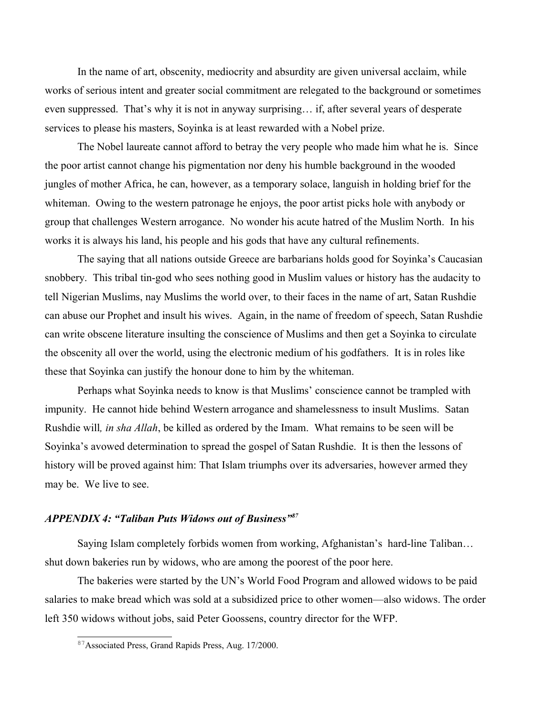In the name of art, obscenity, mediocrity and absurdity are given universal acclaim, while works of serious intent and greater social commitment are relegated to the background or sometimes even suppressed. That's why it is not in anyway surprising… if, after several years of desperate services to please his masters, Soyinka is at least rewarded with a Nobel prize.

The Nobel laureate cannot afford to betray the very people who made him what he is. Since the poor artist cannot change his pigmentation nor deny his humble background in the wooded jungles of mother Africa, he can, however, as a temporary solace, languish in holding brief for the whiteman. Owing to the western patronage he enjoys, the poor artist picks hole with anybody or group that challenges Western arrogance. No wonder his acute hatred of the Muslim North. In his works it is always his land, his people and his gods that have any cultural refinements.

The saying that all nations outside Greece are barbarians holds good for Soyinka's Caucasian snobbery. This tribal tin-god who sees nothing good in Muslim values or history has the audacity to tell Nigerian Muslims, nay Muslims the world over, to their faces in the name of art, Satan Rushdie can abuse our Prophet and insult his wives. Again, in the name of freedom of speech, Satan Rushdie can write obscene literature insulting the conscience of Muslims and then get a Soyinka to circulate the obscenity all over the world, using the electronic medium of his godfathers. It is in roles like these that Soyinka can justify the honour done to him by the whiteman.

Perhaps what Soyinka needs to know is that Muslims' conscience cannot be trampled with impunity. He cannot hide behind Western arrogance and shamelessness to insult Muslims. Satan Rushdie will*, in sha Allah*, be killed as ordered by the Imam. What remains to be seen will be Soyinka's avowed determination to spread the gospel of Satan Rushdie. It is then the lessons of history will be proved against him: That Islam triumphs over its adversaries, however armed they may be. We live to see.

## *APPENDIX 4: "Taliban Puts Widows out of Business"[87](#page-42-0)*

Saying Islam completely forbids women from working, Afghanistan's hard-line Taliban… shut down bakeries run by widows, who are among the poorest of the poor here.

The bakeries were started by the UN's World Food Program and allowed widows to be paid salaries to make bread which was sold at a subsidized price to other women—also widows. The order left 350 widows without jobs, said Peter Goossens, country director for the WFP.

<span id="page-42-0"></span><sup>87</sup>Associated Press, Grand Rapids Press, Aug. 17/2000.